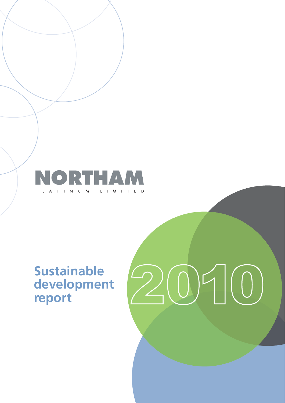

# **Sustainable development report**

# 2010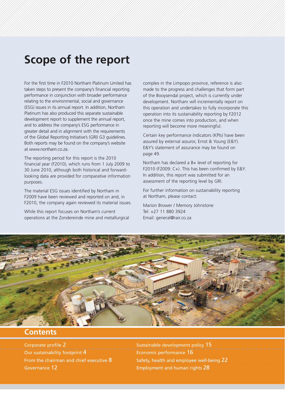# **Scope of the report**

For the first time in F2010 Northam Platinum Limited has taken steps to present the company's financial reporting performance in conjunction with broader performance relating to the environmental, social and governance (ESG) issues in its annual report. In addition, Northam Platinum has also produced this separate sustainable development report to supplement the annual report, and to address the company's ESG performance in greater detail and in alignment with the requirements of the Global Reporting Initiative's (GRI) G3 guidelines. Both reports may be found on the company's website at *www.northam.co.za*.

The reporting period for this report is the 2010 financial year (F2010), which runs from 1 July 2009 to 30 June 2010, although both historical and forwardlooking data are provided for comparative information purposes.

The material ESG issues identified by Northam in F2009 have been reviewed and reported on and, in F2010, the company again reviewed its material issues.

While this report focuses on Northam's current operations at the Zondereinde mine and metallurgical complex in the Limpopo province, reference is also made to the progress and challenges that form part of the Booysendal project, which is currently under development. Northam will incrementally report on this operation and undertakes to fully incorporate this operation into its sustainability reporting by F2012 once the mine comes into production, and when reporting will become more meaningful.

Certain key performance indicators (KPIs) have been assured by external assuror, Ernst & Young (E&Y). E&Y's statement of assurance may be found on page 49.

Northam has declared a B+ level of reporting for F2010 (F2009: C+). This has been confirmed by E&Y. In addition, this report was submitted for an assessment of the reporting level by GRI.

For further information on sustainability reporting at Northam, please contact:

Marion Brower / Memory Johnstone Tel: +27 11 880 3924 Email: general@rair.co.za



### **Contents**

Corporate profile 2 Sustainable development policy 15 Our sustainability footprint 4 Economic performance 16 From the chairman and chief executive  $8$  Safety, health and employee well-being  $22$ Governance 12 **Employment and human rights 28**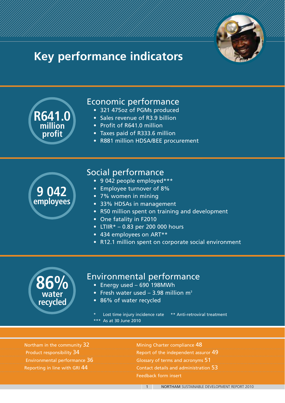

# **Key performance indicators**



\*\*\* As at 30 June 2010

Northam in the community 32 Mining Charter compliance 48 Product responsibility 34 Report of the independent assuror 49 Environmental performance 36 Glossary of terms and acronyms 51 Reporting in line with GRI 44 Contact details and administration 53 Feedback form insert

1 NORTHAM SUSTAINABLE DEVELOPMENT REPORT 2010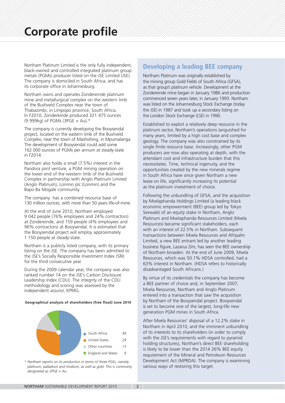Northam Platinum Limited is the only fully independent, black-owned and controlled integrated platinum group metals (PGMs) producer listed on the JSE Limited (JSE). The company is domiciled in South Africa, and has its corporate office in Johannesburg.

Northam owns and operates Zondereinde platinum mine and metallurgical complex on the western limb of the Bushveld Complex near the town of Thabazimbi, in Limpopo province, South Africa. In F2010, Zondereinde produced 321 475 ounces (9 999kg) of PGMs (3PGE + Au).\*

The company is currently developing the Booysendal project, located on the eastern limb of the Bushveld Complex, near the town of Mashishing, in Mpumalanga. The development of Booysendal could add some 162 000 ounces of PGMs per annum at steady-state in F2014.

Northam also holds a small (7.5%) interest in the Pandora joint venture, a PGM mining operation on the lower end of the western limb of the Bushveld Complex in partnership with Anglo Platinum Limited (Anglo Platinum), Lonmin plc (Lonmin) and the Bapo Ba Mogale community.

The company has a combined resource base of 130 million ounces, with more than 50 years life-of-mine.

At the end of June 2010, Northam employed 9 042 people (76% employees and 24% contractors) at Zondereinde, and 159 people (4% employees and 96% contractors) at Booysendal. It is estimated that the Booysendal project will employ approximately 1 150 people at steady-state.

Northam is a publicly listed company, with its primary listing on the JSE. The company has been admitted to the JSE's Socially Responsible Investment Index (SRI) for the third consecutive year.

During the 2009 calendar year, the company was also ranked number 14 on the JSE's Carbon Disclosure Leadership Index (CDLI). The integrity of the CDLI methodology and scoring was assessed by the independent assuror, KPMG.

### **Geographical analysis of shareholders (free float) June 2010**



*\* Northam reports on its production in terms of three PGEs, namely platinum, palladium and rhodium, as well as gold. This is commonly designated as 3PGE + Au.*

### **Developing a leading BEE company**

Northam Platinum was originally established by the mining group Gold Fields of South Africa (GFSA), as that group's platinum vehicle. Development at the Zondereinde mine began in January 1986 and production commenced seven years later, in January 1993. Northam was listed on the Johannesburg Stock Exchange (today the JSE) in 1987 and took up a secondary listing on the London Stock Exchange (LSE) in 1990.

Established to exploit a relatively deep resource in the platinum sector, Northam's operations languished for many years, limited by a high cost base and complex geology. The company was also constrained by its single finite resource base. Increasingly, other PGM producers are now also operating at depth, with the attendant cost and infrastructure burden that this necessitates. Time, technical ingenuity, and the opportunities created by the new minerals regime in South Africa have since given Northam a new lease on life, significantly increasing its potential as the platinum investment of choice.

Following the unbundling of GFSA, and the acquisition by Mvelaphanda Holdings Limited (a leading black economic empowerment (BEE) group led by Tokyo Sexwale) of an equity stake in Northam, Anglo Platinum and Mvelaphanda Resources Limited (Mvela Resources) became significant stakeholders, each with an interest of 22.5% in Northam. Subsequent transactions between Mvela Resources and Afripalm Limited, a new BEE entrant led by another leading business figure, Lazarus Zim, has seen the BEE ownership of Northam broaden. At the end of June 2009, Mvela Resources, which was 50.1% HDSA controlled, had a 63% interest in Northam. (HDSA refers to historically disadvantaged South Africans.)

By virtue of its credentials the company has become a BEE partner of choice and, in September 2007, Mvela Resources, Northam and Anglo Platinum entered into a transaction that saw the acquisition by Northam of the Booysendal project. Booysendal is set to become one of the largest, long-life new generation PGM mines in South Africa.

After Mvela Resources' disposal of a 12.2% stake in Northam in April 2010, and the imminent unbundling of its interests to its shareholders (in order to comply with the JSE's requirements with regard to pyramid holding structures), Northam's direct BEE shareholding is likely to be lower than the 2014 26% BEE equity requirement of the Mineral and Petroleum Resources Development Act (MPRDA). The company is examining various ways of restoring this target.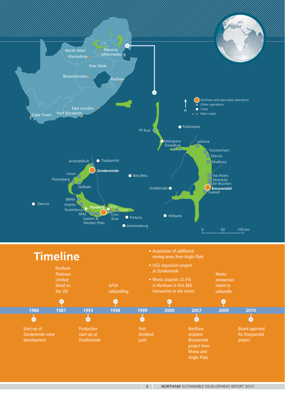

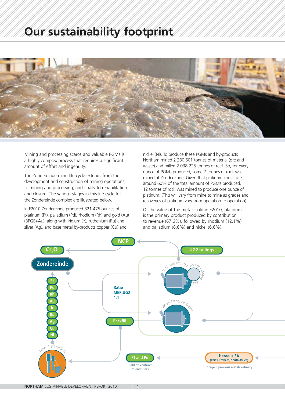# **Our sustainability footprint**



Mining and processing scarce and valuable PGMs is a highly complex process that requires a significant amount of effort and ingenuity.

The Zondereinde mine life cycle extends from the development and construction of mining operations, to mining and processing, and finally to rehabilitation and closure. The various stages in this life cycle for the Zondereinde complex are illustrated below.

In F2010 Zondereinde produced 321 475 ounces of platinum (Pt), palladium (Pd), rhodium (Rh) and gold (Au) (3PGE+Au), along with iridium (Ir), ruthenium (Ru) and silver (Ag), and base metal by-products copper (Cu) and

nickel (Ni). To produce these PGMs and by-products Northam mined 2 280 501 tonnes of material (ore and waste) and milled 2 038 225 tonnes of reef. So, for every ounce of PGMs produced, some 7 tonnes of rock was mined at Zondereinde. Given that platinum constitutes around 60% of the total amount of PGMs produced, 12 tonnes of rock was mined to produce one ounce of platinum. (This will vary from mine to mine as grades and recoveries of platinum vary from operation to operation).

Of the value of the metals sold in F2010, platinum is the primary product produced by contribution to revenue (67.6%), followed by rhodium (12.1%) and palladium (8.6%) and nickel (6.6%).

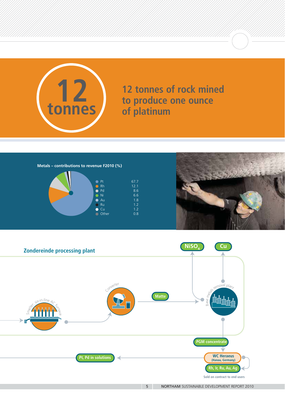

**12 tonnes of rock mined to produce one ounce of platinum**

**Metals – contributions to revenue F2010 (%)**





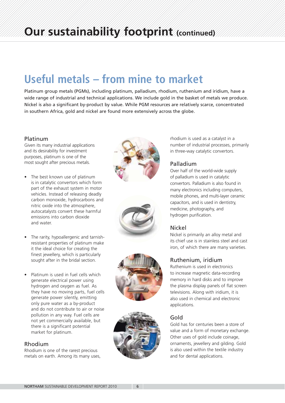# **Useful metals – from mine to market**

Platinum group metals (PGMs), including platinum, palladium, rhodium, ruthenium and iridium, have a wide range of industrial and technical applications. We include gold in the basket of metals we produce. Nickel is also a significant by-product by value. While PGM resources are relatively scarce, concentrated in southern Africa, gold and nickel are found more extensively across the globe.

### Platinum

Given its many industrial applications and its desirability for investment purposes, platinum is one of the most sought after precious metals.

- The best known use of platinum is in catalytic convertors which form part of the exhaust system in motor vehicles. Instead of releasing deadly carbon monoxide, hydrocarbons and nitric oxide into the atmosphere, autocatalysts convert these harmful emissions into carbon dioxide and water.
- The rarity, hypoallergenic and tarnishresistant properties of platinum make it the ideal choice for creating the finest jewellery, which is particularly sought after in the bridal section.
- Platinum is used in fuel cells which generate electrical power using hydrogen and oxygen as fuel. As they have no moving parts, fuel cells generate power silently, emitting only pure water as a by-product and do not contribute to air or noise pollution in any way. Fuel cells are not yet commercially available, but there is a significant potential market for platinum.

### Rhodium

Rhodium is one of the rarest precious metals on earth. Among its many uses,









rhodium is used as a catalyst in a number of industrial processes, primarily in three-way catalytic convertors.

### Palladium

Over half of the world-wide supply of palladium is used in catalytic convertors. Palladium is also found in many electronics including computers, mobile phones, and multi-layer ceramic capacitors, and is used in dentistry, medicine, photography, and hydrogen purification.

### Nickel

Nickel is primarily an alloy metal and its chief use is in stainless steel and cast iron, of which there are many varieties.

### Ruthenium, iridium

Ruthenium is used in electronics to increase magnetic data-recording memory in hard disks and to improve the plasma display panels of flat screen televisions. Along with iridium, it is also used in chemical and electronic applications.

### Gold

Gold has for centuries been a store of value and a form of monetary exchange. Other uses of gold include coinage, ornaments, jewellery and gilding. Gold is also used within the textile industry and for dental applications.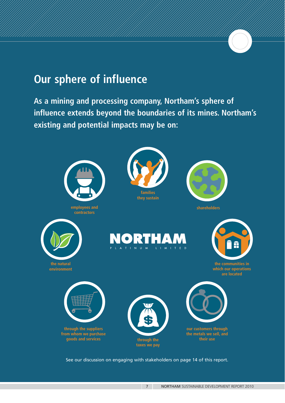# **Our sphere of influence**

**As a mining and processing company, Northam's sphere of influence extends beyond the boundaries of its mines. Northam's existing and potential impacts may be on:**



See our discussion on engaging with stakeholders on page 14 of this report.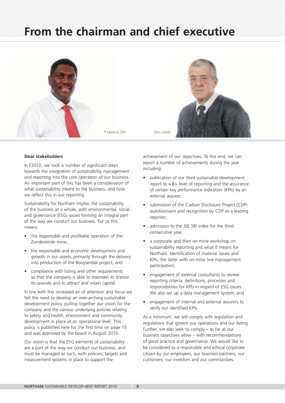# **From the chairman and chief executive**





### **Dear stakeholders**

In F2010, we took a number of significant steps towards the integration of sustainability management and reporting into the core operation of our business. An important part of this has been a consideration of what sustainability means to the business, and how we reflect this in our reporting.

Sustainability for Northam implies the sustainability of the business as a whole, with environmental, social and governance (ESG) issues forming an integral part of the way we conduct our business. For us this means:

- the *responsible* and *profitable* operation of the Zondereinde mine;
- the *responsible* and *economic* development and growth in our assets, primarily through the delivery into production of the Booysendal project; and
- *compliance* with listing and other requirements so that the company is able to *maintain its licence to operate* and to *attract and retain capital*.

In line with this increased air of attention and focus we felt the need to develop an over-arching sustainable development policy, pulling together our vision for the company and the various underlying policies relating to safety and health, environment and community development in place at an operational level. This policy is published here for the first time on page 15 and was approved by the board in August 2010.

Our vision is that the ESG elements of sustainability are a part of the way we conduct our business, and must be managed as such, with policies, targets and measurement systems in place to support the

achievement of our objectives. To this end, we can report a number of achievements during the year including:

- publication of our third sustainable development report to a B+ level of reporting and the assurance of certain key performance indicators (KPIs) by an external assuror;
- submission of the Carbon Disclosure Project (CDP) questionnaire and recognition by CDP as a leading reporter;
- admission to the JSE SRI index for the third consecutive year;
- a corporate and then on-mine workshop on sustainability reporting and what it means for Northam. Identification of material issues and KPIs, the latter with on-mine line management participation;
- engagement of external consultants to review reporting criteria, definitions, processes and responsibilities for KPIs in respect of ESG issues. We also set up a data management system; and
- engagement of internal and external assurors to verify our identified KPIs.

As a minimum, we will comply with legislation and regulations that govern our operations and our listing. Further, we also seek to comply – as far as our business objectives allow – with recommendations of good practice and governance. We would like to be considered as a responsible and ethical corporate citizen by our employees, our business partners, our customers, our investors and our communities.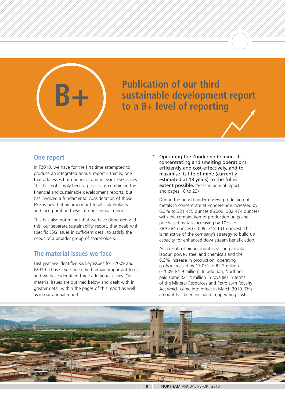

# **B+ Publication of our third**<br>to a B+ level of reporti **sustainable development report to a B+ level of reporting**

### **One report**

In F2010, we have for the first time attempted to produce an integrated annual report – that is, one that addresses both financial and relevant ESG issues. This has not simply been a process of combining the financial and sustainable development reports, but has involved a fundamental consideration of those ESG issues that are important to all stakeholders and incorporating these into our annual report.

This has also not meant that we have dispensed with this, our separate sustainability report, that deals with specific ESG issues in sufficient detail to satisfy the needs of a broader group of shareholders.

### **The material issues we face**

Last year we identified six key issues for F2009 and F2010. Those issues identified remain important to us, and we have identified three additional issues. Our material issues are outlined below and dealt with in greater detail within the pages of this report as well as in our annual report.

1. Operating the Zondereinde mine, its concentrating and smelting operations efficiently and cost-effectively, and to maximise its life of mine (currently estimated at 18 years) to the fullest extent possible. (See the annual report and pages 18 to 23)

During the period under review, production of metals in concentrate at Zondereinde increased by 6.3% to 321 475 ounces (F2009: 302 474 ounces) with the combination of production units and purchased metals increasing by 10% to 389 284 ounces (F2009: 318 131 ounces) .This is reflective of the company's strategy to build up capacity for enhanced downstream beneficiation.

As a result of higher input costs, in particular labour, power, steel and chemicals and the 6.3% increase in production, operating costs increased by 17.0% to R2.2 million (F2009: R1.9 million). In addition, Northam paid some R21.4 million in royalties in terms of the Mineral Resources and Petroleum Royalty Act which came into effect in March 2010. This amount has been included in operating costs.

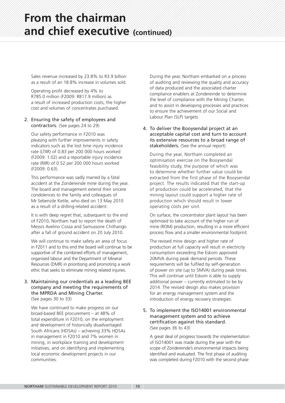Sales revenue increased by 23.8% to R3.9 billion as a result of an 18.8% increase in volumes sold.

Operating profit decreased by 4% to R785.0 million (F2009: R817.9 million) as a result of increased production costs, the higher cost and volumes of concentrates purchased.

### 2. Ensuring the safety of employees and contractors. (See pages 24 to 29)

Our safety performance in F2010 was pleasing with further improvements in safety indicators such as the lost time injury incidence rate (LTIIR) of 0.83 per 200 000 hours worked (F2009: 1.02) and a reportable injury incidence rate (RIIR) of 0.52 per 200 000 hours worked (F2009: 0.63).

This performance was sadly marred by a fatal accident at the Zondereinde mine during the year. The board and management extend their sincere condolences to the family and colleagues of Mr Sebenzile Ketile, who died on 13 May 2010 as a result of a drilling-related accident.

It is with deep regret that, subsequent to the end of F2010, Northam had to report the death of Messrs Avelino Cossa and Samussone Chithango after a fall of ground accident on 20 July 2010.

We will continue to make safety an area of focus in F2011 and to this end the board will continue to be supportive of the combined efforts of management, organised labour and the Department of Mineral Resources (DMR) in prioritising and promoting a work ethic that seeks to eliminate mining related injuries.

### 3. Maintaining our credentials as a leading BEE company and meeting the requirements of the MPRDA and Mining Charter. (See pages 30 to 33)

We have continued to make progress on our broad-based BEE procurement – at 48% of total expenditure in F2010, on the employment and development of historically disadvantaged South Africans (HDSAs) – achieving 33% HDSAs in management in F2010 and 7% women in mining, in workplace training and development initiatives, and on identifying and implementing local economic development projects in our communities.

During the year, Northam embarked on a process of auditing and reviewing the quality and accuracy of data produced and the associated charter compliance enablers at Zondereinde to determine the level of compliance with the Mining Charter, and to assist in developing processes and practices to ensure the achievement of our Social and Labour Plan (SLP) targets.

### 4. To deliver the Booysendal project at an acceptable capital cost and turn to account its extensive resources to a broad range of stakeholders. (See the annual report)

During the year, Northam completed an optimisation exercise on the Booysendal feasibility study, the purpose of which was to determine whether further value could be extracted from the first phase of the Booysendal project. The results indicated that the start-up of production could be accelerated, that the mining layout could support a higher rate of production which should result in lower operating costs per unit.

On surface, the concentrator plant layout has been optimised to take account of the higher run of mine (ROM) production, resulting in a more efficient process flow and a smaller environmental footprint.

The revised mine design and higher rate of production at full capacity will result in electricity consumption exceeding the Eskom approved 20MVA during peak demand periods. These requirements will be fulfiled by self-generation of power on site (up to 5MVA) during peak times. This will continue until Eskom is able to supply additional power – currently estimated to be by 2014. The revised design also makes provision for an energy management system and the introduction of energy recovery strategies.

### 5. To implement the ISO14001 environmental management system and to achieve certification against this standard. (See pages 36 to 43)

A great deal of progress towards the implementation of ISO14001 was made during the year with the scope of Zondereinde's environmental impacts being identified and evaluated. The first phase of auditing was completed during F2010 with the second phase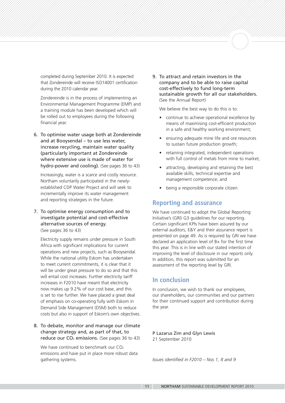completed during September 2010. It is expected that Zondereinde will receive ISO14001 certification during the 2010 calendar year.

Zondereinde is in the process of implementing an Environmental Management Programme (EMP) and a training module has been developed which will be rolled out to employees during the following financial year.

6. To optimise water usage both at Zondereinde and at Booysendal – to use less water, increase recycling, maintain water quality (particularly important at Zondereinde where extensive use is made of water for hydro-power and cooling). (See pages 36 to 43)

Increasingly, water is a scarce and costly resource. Northam voluntarily participated in the newlyestablished CDP Water Project and will seek to incrementally improve its water management and reporting strategies in the future.

7. To optimise energy consumption and to investigate potential and cost-effective alternative sources of energy. (See pages 36 to 43)

Electricity supply remains under pressure in South Africa with significant implications for current operations and new projects, such as Booysendal. While the national utility Eskom has undertaken to meet current commitments, it is clear that it will be under great pressure to do so and that this will entail cost increases. Further electricity tariff increases in F2010 have meant that electricity now makes up 9.2% of our cost base, and this is set to rise further. We have placed a great deal of emphasis on co-operating fully with Eskom in Demand Side Management (DSM) both to reduce costs but also in support of Eskom's own objectives.

8. To debate, monitor and manage our climate change strategy and, as part of that, to reduce our  $CO<sub>2</sub>$  emissions. (See pages 36 to 43)

We have continued to benchmark our CO<sub>2</sub> emissions and have put in place more robust data gathering systems.

9. To attract and retain investors in the company and to be able to raise capital cost-effectively to fund long-term sustainable growth for all our stakeholders. (See the Annual Report)

We believe the best way to do this is to:

- continue to achieve operational excellence by means of maximising cost-efficient production in a safe and healthy working environment;
- ensuring adequate mine life and ore resources to sustain future production growth;
- retaining integrated, independent operations with full control of metals from mine to market;
- attracting, developing and retaining the best available skills, technical expertise and management competence; and
- being a responsible corporate citizen.

### **Reporting and assurance**

We have continued to adopt the Global Reporting Initiative's (GRI) G3 guidelines for our reporting. Certain significant KPIs have been assured by our external auditors, E&Y and their assurance report is presented on page 49. As is required by GRI we have declared an application level of B+ for the first time this year. This is in line with our stated intention of improving the level of disclosure in our reports only. In addition, this report was submitted for an assessment of the reporting level by GRI.

### **In conclusion**

In conclusion, we wish to thank our employees, our shareholders, our communities and our partners for their continued support and contribution during the year.

P Lazarus Zim and Glyn Lewis 21 September 2010

*Issues identified in F2010 – Nos 1, 8 and 9*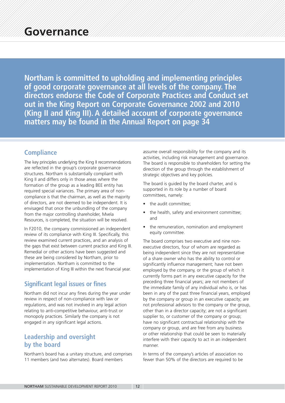**Northam is committed to upholding and implementing principles of good corporate governance at all levels of the company. The directors endorse the Code of Corporate Practices and Conduct set out in the King Report on Corporate Governance 2002 and 2010 (King II and King III). A detailed account of corporate governance matters may be found in the Annual Report on page 34**

### **Compliance**

The key principles underlying the King II recommendations are reflected in the group's corporate governance structures. Northam is substantially compliant with King II and differs only in those areas where the formation of the group as a leading BEE entity has required special variances. The primary area of noncompliance is that the chairman, as well as the majority of directors, are not deemed to be independent. It is envisaged that once the unbundling of the company from the major controlling shareholder, Mvela Resources, is completed, the situation will be resolved.

In F2010, the company commissioned an independent review of its compliance with King III. Specifically, this review examined current practices, and an analysis of the gaps that exist between current practice and King III. Remedial or other actions have been suggested and these are being considered by Northam, prior to implementation. Northam is committed to the implementation of King III within the next financial year.

### **Significant legal issues or fines**

Northam did not incur any fines during the year under review in respect of non-compliance with law or regulations, and was not involved in any legal action relating to anti-competitive behaviour, anti-trust or monopoly practices. Similarly the company is not engaged in any significant legal actions.

### **Leadership and oversight by the board**

Northam's board has a unitary structure, and comprises 11 members (and two alternates). Board members

assume overall responsibility for the company and its activities, including risk management and governance. The board is responsible to shareholders for setting the direction of the group through the establishment of strategic objectives and key policies.

The board is guided by the board charter, and is supported in its role by a number of board committees, namely:

- the audit committee;
- the health, safety and environment committee; and
- the remuneration, nomination and employment equity committee.

The board comprises two executive and nine nonexecutive directors, four of whom are regarded as being independent since they are not representative of a share owner who has the ability to control or significantly influence management; have not been employed by the company, or the group of which it currently forms part in any executive capacity for the preceding three financial years; are not members of the immediate family of any individual who is, or has been in any of the past three financial years, employed by the company or group in an executive capacity; are not professional advisors to the company or the group, other than in a director capacity; are not a significant supplier to, or customer of the company or group; have no significant contractual relationship with the company or group, and are free from any business or other relationship that could be seen to materially interfere with their capacity to act in an independent manner.

In terms of the company's articles of association no fewer than 50% of the directors are required to be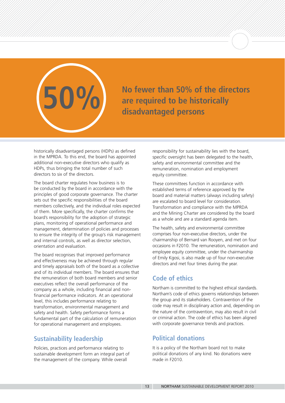

**No fewer than 50% of the directors are required to be historically 50% disadvantaged persons**

historically disadvantaged persons (HDPs) as defined in the MPRDA. To this end, the board has appointed additional non-executive directors who qualify as HDPs, thus bringing the total number of such directors to six of the directors.

The board charter regulates how business is to be conducted by the board in accordance with the principles of good corporate governance. The charter sets out the specific responsibilities of the board members collectively, and the individual roles expected of them. More specifically, the charter confirms the board's responsibility for the adoption of strategic plans, monitoring of operational performance and management, determination of policies and processes to ensure the integrity of the group's risk management and internal controls, as well as director selection, orientation and evaluation.

The board recognises that improved performance and effectiveness may be achieved through regular and timely appraisals both of the board as a collective and of its individual members. The board ensures that the remuneration of both board members and senior executives reflect the overall performance of the company as a whole, including financial and nonfinancial performance indicators. At an operational level, this includes performance relating to transformation, environmental management and safety and health. Safety performance forms a fundamental part of the calculation of remuneration for operational management and employees.

### **Sustainability leadership**

Policies, practices and performance relating to sustainable development form an integral part of the management of the company. While overall

responsibility for sustainability lies with the board, specific oversight has been delegated to the health, safety and environmental committee and the remuneration, nomination and employment equity committee.

These committees function in accordance with established terms of reference approved by the board and material matters (always including safety) are escalated to board level for consideration. Transformation and compliance with the MPRDA and the Mining Charter are considered by the board as a whole and are a standard agenda item.

The health, safety and environmental committee comprises four non-executive directors, under the chairmanship of Bernard van Rooyen, and met on four occasions in F2010. The remuneration, nomination and employee equity committee, under the chairmanship of Emily Kgosi, is also made up of four non-executive directors and met four times during the year.

### **Code of ethics**

Northam is committed to the highest ethical standards. Northam's code of ethics governs relationships between the group and its stakeholders. Contravention of the code may result in disciplinary action and, depending on the nature of the contravention, may also result in civil or criminal action. The code of ethics has been aligned with corporate governance trends and practices.

### **Political donations**

It is a policy of the Northam board not to make political donations of any kind. No donations were made in F2010.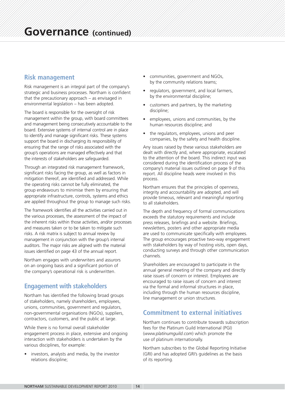### **Risk management**

Risk management is an integral part of the company's strategic and business processes. Northam is confident that the precautionary approach – as envisaged in environmental legislation – has been adopted.

The board is responsible for the oversight of risk management within the group, with board committees and management being consecutively accountable to the board. Extensive systems of internal control are in place to identify and manage significant risks. These systems support the board in discharging its responsibility of ensuring that the range of risks associated with the group's operations are managed effectively and that the interests of stakeholders are safeguarded.

Through an integrated risk management framework, significant risks facing the group, as well as factors in mitigation thereof, are identified and addressed. While the operating risks cannot be fully eliminated, the group endeavours to minimise them by ensuring that appropriate infrastructure, controls, systems and ethics are applied throughout the group to manage such risks.

The framework identifies all the activities carried out in the various processes, the assessment of the impact of the inherent risks within those activities, and/or processes and measures taken or to be taken to mitigate such risks. A risk matrix is subject to annual review by management in conjunction with the group's internal auditors. The major risks are aligned with the material issues identified on page 43 of the annual report.

Northam engages with underwriters and assurors on an ongoing basis and a significant portion of the company's operational risk is underwritten.

### **Engagement with stakeholders**

Northam has identified the following broad groups of stakeholders, namely shareholders, employees, unions, communities, government and regulators, non-governmental organisations (NGOs), suppliers, contractors, customers, and the public at large.

While there is no formal overall stakeholder engagement process in place, extensive and ongoing interaction with stakeholders is undertaken by the various disciplines, for example:

investors, analysts and media, by the investor relations discipline;

- communities, government and NGOs, by the community relations teams;
- regulators, government, and local farmers, by the environmental discipline;
- customers and partners, by the marketing discipline;
- employees, unions and communities, by the human resources discipline; and
- the regulators, employees, unions and peer companies, by the safety and health discipline.

Any issues raised by these various stakeholders are dealt with directly and, where appropriate, escalated to the attention of the board. This indirect input was considered during the identification process of the company's material issues outlined on page 9 of this report. All discipline heads were involved in this process.

Northam ensures that the principles of openness, integrity and accountability are adopted, and will provide timeous, relevant and meaningful reporting to all stakeholders.

The depth and frequency of formal communications exceeds the statutory requirements and include press releases, briefings and a website. Briefings, newsletters, posters and other appropriate media are used to communicate specifically with employees. The group encourages proactive two-way engagement with stakeholders by way of hosting visits, open days, conducting surveys and through other communication channels.

Shareholders are encouraged to participate in the annual general meeting of the company and directly raise issues of concern or interest. Employees are encouraged to raise issues of concern and interest via the formal and informal structures in place, including through the human resources discipline, line management or union structures.

### **Commitment to external initiatives**

Northam continues to contribute towards subscription fees for the Platinum Guild International (PGI) (*www.platinumguild.com*) which promote the use of platinum internationally.

Northam subscribes to the Global Reporting Initiative (GRI) and has adopted GRI's guidelines as the basis of its reporting.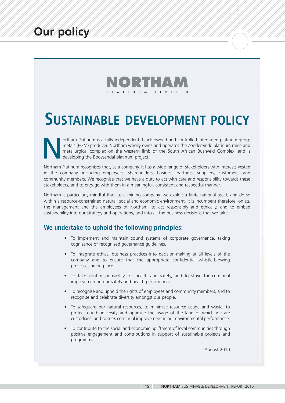

# **SUSTAINABLE DEVELOPMENT POLICY**

ortham Platinum is a fully independent, black-owned and controlled integrated platinum group<br>metals (PGM) producer. Northam wholly owns and operates the Zondereinde platinum mine and<br>metallurgical complex on the western li metals (PGM) producer. Northam wholly owns and operates the Zondereinde platinum mine and metallurgical complex on the western limb of the South African Bushveld Complex, and is developing the Booysendal platinum project.

Northam Platinum recognises that, as a company, it has a wide range of stakeholders with interests vested in the company, including employees, shareholders, business partners, suppliers, customers, and community members. We recognise that we have a duty to act with care and responsibility towards these stakeholders, and to engage with them in a meaningful, consistent and respectful manner.

Northam is particularly mindful that, as a mining company, we exploit a finite national asset, and do so within a resource-constrained natural, social and economic environment. It is incumbent therefore, on us, the management and the employees of Northam, to act responsibly and ethically, and to embed sustainability into our strategy and operations, and into all the business decisions that we take.

### **We undertake to uphold the following principles:**

- To implement and maintain sound systems of corporate governance, taking cognisance of recognised governance guidelines.
- To integrate ethical business practices into decision-making at all levels of the company and to ensure that the appropriate confidential whistle-blowing processes are in place.
- To take joint responsibility for health and safety, and to strive for continual improvement in our safety and health performance.
- To recognise and uphold the rights of employees and community members, and to recognise and celebrate diversity amongst our people.
- To safeguard our natural resources, to minimise resource usage and waste, to protect our biodiversity and optimise the usage of the land of which we are custodians, and to seek continual improvement in our environmental performance.
- To contribute to the social and economic upliftment of local communities through positive engagement and contributions in support of sustainable projects and programmes.

August 2010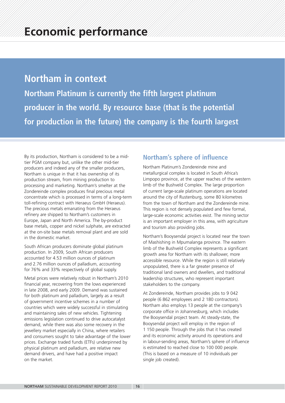# **Northam in context**

**Northam Platinum is currently the fifth largest platinum producer in the world. By resource base (that is the potential for production in the future) the company is the fourth largest**

By its production, Northam is considered to be a midtier PGM company but, unlike the other mid-tier producers and indeed any of the smaller producers, Northam is unique in that it has ownership of its production stream, from mining production to processing and marketing. Northam's smelter at the Zondereinde complex produces final precious metal concentrate which is processed in terms of a long-term toll-refining contract with Heraeus GmbH (Heraeus). The precious metals emanating from the Heraeus refinery are shipped to Northam's customers in Europe, Japan and North America. The by-product base metals, copper and nickel sulphate, are extracted at the on-site base metals removal plant and are sold in the domestic market.

South African producers dominate global platinum production. In 2009, South African producers accounted for 4.53 million ounces of platinum and 2.76 million ounces of palladium, accounting for 76% and 33% respectively of global supply.

Metal prices were relatively robust in Northam's 2010 financial year, recovering from the lows experienced in late 2008, and early 2009. Demand was sustained for both platinum and palladium, largely as a result of government incentive schemes in a number of countries which were widely successful in stimulating and maintaining sales of new vehicles. Tightening emissions legislation continued to drive autocatalyst demand, while there was also some recovery in the jewellery market especially in China, where retailers and consumers sought to take advantage of the lower prices. Exchange traded funds (ETFs) underpinned by physical platinum and palladium, are relative new demand drivers, and have had a positive impact on the market.

### **Northam's sphere of influence**

Northam Platinum's Zondereinde mine and metallurgical complex is located in South Africa's Limpopo province, at the upper reaches of the western limb of the Bushveld Complex. The large proportion of current large-scale platinum operations are located around the city of Rustenburg, some 80 kilometres from the town of Northam and the Zondereinde mine. This region is not densely populated and few formal, large-scale economic activities exist. The mining sector is an important employer in this area, with agriculture and tourism also providing jobs.

Northam's Booysendal project is located near the town of Mashishing in Mpumalanga province. The eastern limb of the Bushveld Complex represents a significant growth area for Northam with its shallower, more accessible resource. While the region is still relatively unpopulated, there is a far greater presence of traditional land owners and dwellers, and traditional leadership structures, who represent important stakeholders to the company.

At Zondereinde, Northam provides jobs to 9 042 people (6 862 employees and 2 180 contractors). Northam also employs 13 people at the company's corporate office in Johannesburg, which includes the Booysendal project team. At steady-state, the Booysendal project will employ in the region of 1 150 people. Through the jobs that it has created and its economic activity around its operations and in labour-sending areas, Northam's sphere of influence is estimated to reached close to 100 000 people. (This is based on a measure of 10 individuals per single job created).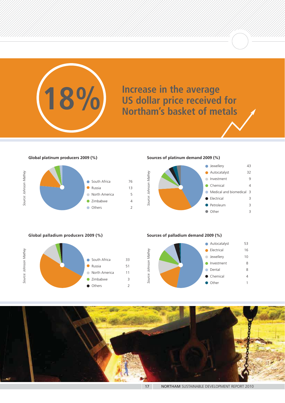# **INCREASE IS A SET US dollar price received for<br>
<b>IS dollar price received for<br>
Northam's basket of metals**

**Global platinum producers 2009 (%)**



**Sources of platinum demand 2009 (%)**



**Global palladium producers 2009 (%)**



**Sources of palladium demand 2009 (%)**



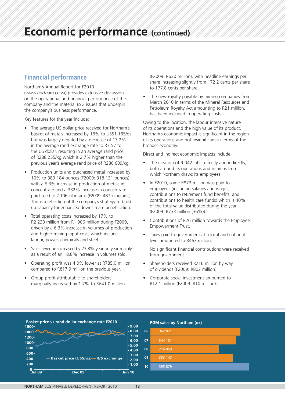### **Financial performance**

Northam's Annual Report for F2010 (*www.northam.co.za*) provides extensive discussion on the operational and financial performance of the company and the material ESG issues that underpin the company's business performance.

Key features for the year include:

- The average US dollar price received for Northam's basket of metals increased by 18% to US\$1 185/oz but was largely negated by a decrease of 13.2% in the average rand exchange rate to R7.57 to the US dollar, resulting in an average rand price of R288 255/kg which is 2.7% higher than the previous year's average rand price of R280 609/kg.
- Production units and purchased metal increased by 10% to 389 184 ounces (F2009: 318 131 ounces) with a 6.3% increase in production of metals in concentrate and a 332% increase in concentrate purchased to 2 106 kilograms (F2009: 487 kilograms). This is a reflection of the company's strategy to build up capacity for enhanced downstream beneficiation.
- Total operating costs increased by 17% to R2 230 million from R1 906 million during F2009, driven by a 6.3% increase in volumes of production and higher mining input costs which include labour, power, chemicals and steel.
- Sales revenue increased by 23.8% year on year mainly as a result of an 18.8% increase in volumes sold.
- Operating profit was 4.0% lower at R785.0 million compared to R817.9 million the previous year.
- Group profit attributable to shareholders marginally increased by 1.7% to R641.0 million

(F2009: R630 million), with headline earnings per share increasing slightly from 172.2 cents per share to 177.8 cents per share.

The new royalty payable by mining companies from March 2010 in terms of the Mineral Resources and Petroleum Royalty Act amounting to R21 million, has been included in operating costs.

Owing to the location, the labour intensive nature of its operations and the high value of its product, Northam's economic impact is significant in the region of its operations and not insignificant in terms of the broader economy.

Direct and indirect economic impacts include:

- The creation of 9 042 jobs, directly and indirectly, both around its operations and in areas from which Northam draws its employees.
- In F2010, some R873 million was paid to employees (including salaries and wages, contributions to retirement fund benefits, and contributions to health care funds) which is 40% of the total value distributed during the year (F2009: R733 million (36%)).
- Contributions of R26 million towards the Employee Empowerment Trust.
- Taxes paid to government at a local and national level amounted to R463 million.

No significant financial contributions were received from government.

- Shareholders received R216 million by way of dividends (F2009: R802 million).
- Corporate social investment amounted to R12.1 million (F2009: R10 million).

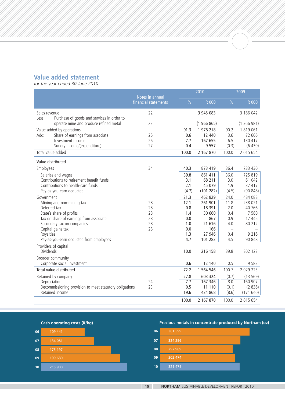### **Value added statement**

*for the year ended 30 June 2010*

|                        |                                                                | Notes in annual      |               | 2010               |                   | 2009              |  |
|------------------------|----------------------------------------------------------------|----------------------|---------------|--------------------|-------------------|-------------------|--|
|                        |                                                                | financial statements | $\frac{0}{0}$ | R 000              | $\frac{9}{6}$     | R 000             |  |
| Sales revenue<br>Less: | Purchase of goods and services in order to                     | 22                   |               | 3 945 083          |                   | 3 186 042         |  |
|                        | operate mine and produce refined metal                         | 23                   |               | (1966865)          |                   | (1366981)         |  |
|                        | Value added by operations                                      |                      | 91.3          | 1 978 218          | 90.2              | 1819061           |  |
| Add:                   | Share of earnings from associate                               | 25                   | 0.6           | 12 440             | 3.6               | 72 606            |  |
|                        | Investment income                                              | 26<br>27             | 7.7<br>0.4    | 167 655<br>9 5 5 7 | 6.5<br>(0.3)      | 130 417<br>(6430) |  |
|                        | Sundry income/(expenditure)<br>Total value added               |                      | 100.0         | 2 167 870          | 100.0             | 2 015 654         |  |
|                        |                                                                |                      |               |                    |                   |                   |  |
|                        | Value distributed                                              |                      |               |                    |                   |                   |  |
| Employees              |                                                                | 34                   | 40.3          | 873 419            | 36.4              | 733 430           |  |
|                        | Salaries and wages                                             |                      | 39.8          | 861 411            | 36.0              | 725 819           |  |
|                        | Contributions to retirement benefit funds                      |                      | 3.1<br>2.1    | 68 211<br>45 079   | 3.0<br>1.9        | 61 042<br>37 417  |  |
|                        | Contributions to health-care funds<br>Pay-as-you-earn deducted |                      | (4.7)         | (101 282)          | (4.5)             | (90848)           |  |
| Government             |                                                                |                      | 21.3          | 462 829            | 24.0              | 484 088           |  |
|                        | Mining and non-mining tax                                      | 28                   | 12.1          | 261 901            | 11.8              | 238 021           |  |
|                        | Deferred tax                                                   | 28                   | 0.8           | 18 391             | 2.0               | 40 766            |  |
|                        | State's share of profits                                       | 28                   | 1.4           | 30 660             | 0.4               | 7 5 8 0           |  |
|                        | Tax on share of earnings from associate                        | 28                   | 0.0           | 867                | 0.9               | 17 445            |  |
|                        | Secondary tax on companies                                     | 28                   | 1.0           | 21 616             | 4.0               | 80 212            |  |
|                        | Capital gains tax                                              | 28                   | 0.0           | 166                | $\qquad \qquad -$ |                   |  |
| Royalties              |                                                                |                      | 1.3           | 27 946             | 0.4               | 9 2 1 6           |  |
|                        | Pay-as-you-earn deducted from employees                        |                      | 4.7           | 101 282            | 4.5               | 90 848            |  |
| Dividends              | Providers of capital                                           |                      | 10.0          | 216 158            | 39.8              | 802 122           |  |
|                        | Broader community<br>Corporate social investment               |                      | 0.6           | 12 140             | 0.5               | 9 5 8 3           |  |
|                        | Total value distributed                                        |                      | 72.2          | 1 564 546          | 100.7             | 2 0 2 9 2 2 3     |  |
|                        | Retained by company                                            |                      | 27.8          | 603 324            | (0.7)             | (13569)           |  |
|                        | Depreciation                                                   | 24                   | 7.7           | 167 346            | 8.0               | 160 907           |  |
|                        | Decommissioning provision to meet statutory obligations        | 23                   | 0.5           | 11 110             | (0.1)             | (2836)            |  |
|                        | Retained income                                                |                      | 19.6          | 424 868            | (8.6)             | (171640)          |  |
|                        |                                                                |                      | 100.0         | 2 167 870          | 100.0             | 2 015 654         |  |

**Cash operating costs (R/kg)**



**Precious metals in concentrate produced by Northam (oz)**

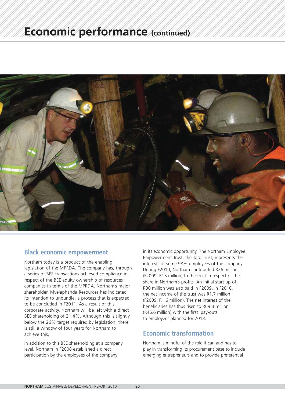

### **Black economic empowerment**

Northam today is a product of the enabling legislation of the MPRDA. The company has, through a series of BEE transactions achieved compliance in respect of the BEE equity ownership of resources companies in terms of the MPRDA. Northam's major shareholder, Mvelaphanda Resources has indicated its intention to unbundle, a process that is expected to be concluded in F2011. As a result of this corporate activity, Northam will be left with a direct BEE shareholding of 21.4%. Although this is slightly below the 26% target required by legislation, there is still a window of four years for Northam to achieve this.

In addition to this BEE shareholding at a company level, Northam in F2008 established a direct participation by the employees of the company

in its economic opportunity. The Northam Employee Empowerment Trust, the Toro Trust, represents the interests of some 98% employees of the company. During F2010, Northam contributed R26 million (F2009: R15 million) to the trust in respect of the share in Northam's profits. An initial start-up of R30 million was also paid in F2009. In F2010, the net income of the trust was R1.7 million (F2009: R1.6 million). The net interest of the beneficiaries has thus risen to R69.3 million (R46.6 million) with the first pay-outs to employees planned for 2013.

### **Economic transformation**

Northam is mindful of the role it can and has to play in transforming its procurement base to include emerging entrepreneurs and to provide preferential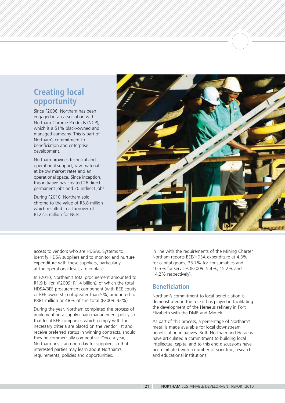### **Creating local opportunity**

Since F2006, Northam has been engaged in an association with Northam Chrome Products (NCP), which is a 51% black-owned and managed company. This is part of Northam's commitment to beneficiation and enterprise development.

Northam provides technical and operational support, raw material at below market rates and an operational space. Since inception, this initiative has created 26 direct permanent jobs and 20 indirect jobs.

During F2010, Northam sold chrome to the value of R5.8 million which resulted in a turnover of R122.5 million for NCP.



access to vendors who are HDSAs. Systems to identify HDSA suppliers and to monitor and nurture expenditure with these suppliers, particularly at the operational level, are in place.

In F2010, Northam's total procurement amounted to R1.9 billion (F2009: R1.4 billion), of which the total HDSA/BEE procurement component (with BEE equity or BEE ownership of greater than 5%) amounted to R881 million or 48% of the total (F2009: 32%).

During the year, Northam completed the process of implementing a supply chain management policy so that local BEE companies which comply with the necessary criteria are placed on the vendor list and receive preferred status in winning contracts, should they be commercially competitive. Once a year, Northam hosts an open day for suppliers so that interested parties may learn about Northam's requirements, policies and opportunities.

In line with the requirements of the Mining Charter, Northam reports BEE/HDSA expenditure at 4.3% for capital goods, 33.7% for consumables and 10.3% for services (F2009: 5.4%, 15.2% and 14.2% respectively).

### **Beneficiation**

Northam's commitment to local beneficiation is demonstrated in the role it has played in facilitating the development of the Heraeus refinery in Port Elizabeth with the DMR and Mintek.

As part of this process, a percentage of Northam's metal is made available for local downstream beneficiation initiatives. Both Northam and Heraeus have articulated a commitment to building local intellectual capital and to this end discussions have been initiated with a number of scientific, research and educational institutions.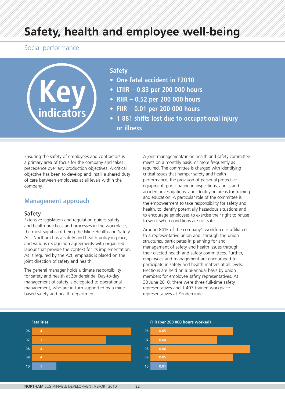# **Safety, health and employee well-being**

### Social performance



### **Safety**

- **One fatal accident in F2010**
- **LTIIR 0.83 per 200 000 hours**
- **RIIR 0.52 per 200 000 hours**
- **FIIR 0.01 per 200 000 hours**
- **1 881 shifts lost due to occupational injury or illness**

Ensuring the safety of employees and contractors is a primary area of focus for the company and takes precedence over any production objectives. A critical objective has been to develop and instill a shared duty of care between employees at all levels within the company.

### **Management approach**

### Safety

Extensive legislation and regulation guides safety and health practices and processes in the workplace, the most significant being the Mine Health and Safety Act. Northam has a safety and health policy in place, and various recognition agreements with organised labour that provide the context for its implementation. As is required by the Act, emphasis is placed on the joint direction of safety and health.

The general manager holds ultimate responsibility for safety and health at Zondereinde. Day-to-day management of safety is delegated to operational management, who are in turn supported by a minebased safety and health department.

A joint management/union health and safety committee meets on a monthly basis, or more frequently as required. The committee is charged with identifying critical issues that hamper safety and health performance, the provision of personal protective equipment, participating in inspections, audits and accident investigations; and identifying areas for training and education. A particular role of the committee is the empowerment to take responsibility for safety and health, to identify potentially hazardous situations and to encourage employees to exercise their right to refuse to work when conditions are not safe.

Around 84% of the company's workforce is affiliated to a representative union and, through the union structures, participates in planning for and management of safety and health issues through their elected health and safety committees. Further, employees and management are encouraged to participate in safety and health matters at all levels. Elections are held on a bi-annual basis by union members for employee safety representatives. At 30 June 2010, there were three full-time safety representatives and 1 407 trained workplace representatives at Zondereinde.

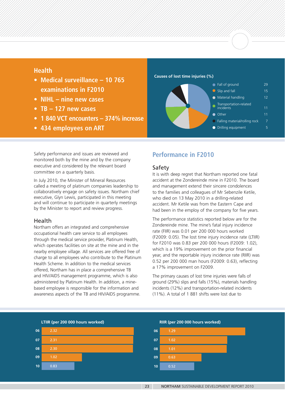### **Health**

- **Medical surveillance 10 765 examinations in F2010**
- **NIHL nine new cases**
- **TB 127 new cases**
- **1 840 VCT encounters 374% increase**
- **434 employees on ART**

**Causes of lost time injuries (%)**



Safety performance and issues are reviewed and monitored both by the mine and by the company executive and considered by the relevant board committee on a quarterly basis.

In July 2010, the Minister of Mineral Resources called a meeting of platinum companies leadership to collaboratively engage on safety issues. Northam chief executive, Glyn Lewis, participated in this meeting and will continue to participate in quarterly meetings by the Minister to report and review progress.

### Health

Northam offers an integrated and comprehensive occupational health care service to all employees through the medical service provider, Platinum Health, which operates facilities on site at the mine and in the nearby employee village. All services are offered free of charge to all employees who contribute to the Platinum Health Scheme. In addition to the medical services offered, Northam has in place a comprehensive TB and HIV/AIDS management programme, which is also administered by Platinum Health. In addition, a minebased employee is responsible for the information and awareness aspects of the TB and HIV/AIDS programme.

### **Performance in F2010**

### Safety

It is with deep regret that Northam reported one fatal accident at the Zondereinde mine in F2010. The board and management extend their sincere condolences to the families and colleagues of Mr Sebenzile Ketile, who died on 13 May 2010 in a drilling-related accident. Mr Ketile was from the Eastern Cape and had been in the employ of the company for five years.

The performance statistics reported below are for the Zondereinde mine. The mine's fatal injury incidence rate (FIIR) was 0.01 per 200 000 hours worked (F2009: 0.05). The lost time injury incidence rate (LTIIR) for F2010 was 0.83 per 200 000 hours (F2009: 1.02), which is a 19% improvement on the prior financial year, and the reportable injury incidence rate (RIIR) was 0.52 per 200 000 man hours (F2009: 0.63), reflecting a 17% improvement on F2009.

The primary causes of lost time injuries were falls of ground (29%) slips and falls (15%), materials handling incidents (12%) and transportation-related incidents (11%). A total of 1 881 shifts were lost due to

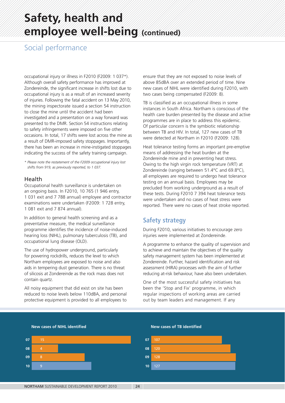# **Safety, health and employee well-being (continued)**

### Social performance

occupational injury or illness in F2010 (F2009: 1 037\*). Although overall safety performance has improved at Zondereinde, the significant increase in shifts lost due to occupational injury is as a result of an increased severity of injuries. Following the fatal accident on 13 May 2010, the mining inspectorate issued a section 54 instruction to close the mine until the accident had been investigated and a presentation on a way forward was presented to the DMR. Section 54 instructions relating to safety infringements were imposed on five other occasions. In total, 17 shifts were lost across the mine as a result of DMR-imposed safety stoppages. Importantly, there has been an increase in mine-instigated stoppages indicating the success of the safety training campaign.

*\* Please note the restatement of the F2009 occupational injury lost shifts from 919, as previously reported, to 1 037.*

### Health

Occupational health surveillance is undertaken on an ongoing basis. In F2010, 10 765 (1 946 entry, 1 031 exit and 7 788 annual) employee and contractor examinations were undertaken (F2009: 1 728 entry, 1 081 exit and 7 874 annual).

In addition to general health screening and as a preventative measure, the medical surveillance programme identifies the incidence of noise-induced hearing loss (NIHL), pulmonary tuberculosis (TB), and occupational lung disease (OLD).

The use of hydropower underground, particularly for powering rockdrills, reduces the level to which Northam employees are exposed to noise and also aids in tempering dust generation. There is no threat of silicosis at Zondereinde as the rock mass does not contain quartz.

All noisy equipment that did exist on site has been reduced to noise levels below 110dBA, and personal protective equipment is provided to all employees to

ensure that they are not exposed to noise levels of above 85dBA over an extended period of time. Nine new cases of NIHL were identified during F2010, with two cases being compensated (F2009: 8).

TB is classified as an occupational illness in some instances in South Africa. Northam is conscious of the health care burden presented by the disease and active programmes are in place to address this epidemic. Of particular concern is the symbiotic relationship between TB and HIV. In total, 127 new cases of TB were detected at Northam in F2010 (F2009: 128).

Heat tolerance testing forms an important pre-emptive means of addressing the heat burden at the Zondereinde mine and in preventing heat stress. Owing to the high virgin rock temperature (VRT) at Zondereinde (ranging between 51.4°C and 69.8°C), all employees are required to undergo heat tolerance testing on an annual basis. Employees may be precluded from working underground as a result of these tests. During F2010 7 394 heat tolerance tests were undertaken and no cases of heat stress were reported. There were no cases of heat stroke reported.

### **Safety strategy**

During F2010, various initiatives to encourage zero injuries were implemented at Zondereinde.

A programme to enhance the quality of supervision and to achieve and maintain the objectives of the quality safety management system has been implemented at Zondereinde. Further, hazard identification and risk assessment (HIRA) processes with the aim of further reducing at-risk behaviour, have also been undertaken.

One of the most successful safety initiatives has been the 'Stop and Fix' programme, in which regular inspections of working areas are carried out by team leaders and management. If any



### **New cases of TB identified**

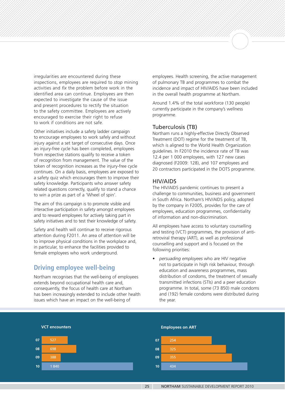irregularities are encountered during these inspections, employees are required to *stop* mining activities and *fix* the problem before work in the identified area can continue. Employees are then expected to investigate the cause of the issue and present procedures to rectify the situation to the safety committee. Employees are actively encouraged to exercise their right to refuse to work if conditions are not safe.

Other initiatives include a safety ladder campaign to encourage employees to work safely and without injury against a set target of consecutive days. Once an injury-free cycle has been completed, employees from respective stations qualify to receive a token of recognition from management. The value of the token of recognition increases as the injury-free cycle continues. On a daily basis, employees are exposed to a safety quiz which encourages them to improve their safety knowledge. Participants who answer safety related questions correctly, qualify to stand a chance to win a prize as part of a 'Wheel of spin'.

The aim of this campaign is to promote visible and interactive participation in safety amongst employees and to reward employees for actively taking part in safety initiatives and to test their knowledge of safety.

Safety and health will continue to receive rigorous attention during F2011. An area of attention will be to improve physical conditions in the workplace and, in particular, to enhance the facilities provided to female employees who work underground.

### **Driving employee well-being**

Northam recognises that the well-being of employees extends beyond occupational health care and, consequently, the focus of health care at Northam has been increasingly extended to include other health issues which have an impact on the well-being of

employees. Health screening, the active management of pulmonary TB and programmes to combat the incidence and impact of HIV/AIDS have been included in the overall health programme at Northam.

Around 1.4% of the total workforce (130 people) currently participate in the company's wellness programme.

### Tuberculosis (TB)

Northam runs a highly-effective Directly Observed Treatment (DOT) regime for the treatment of TB, which is aligned to the World Health Organization guidelines. In F2010 the incidence rate of TB was 12.4 per 1 000 employees, with 127 new cases diagnosed (F2009: 128), and 107 employees and 20 contractors participated in the DOTS programme.

### HIV/AIDS

The HIV/AIDS pandemic continues to present a challenge to communities, business and government in South Africa. Northam's HIV/AIDS policy, adopted by the company in F2005, provides for the care of employees, education programmes, confidentiality of information and non-discrimination.

All employees have access to voluntary counselling and testing (VCT) programmes, the provision of antiretroviral therapy (ART), as well as professional counselling and support and is focused on the following priorities:

• *persuading employees* who are HIV negative not to participate in high risk behaviour, through education and awareness programmes, mass distribution of condoms, the treatment of sexually transmitted infections (STIs) and a peer education programme. In total, some (73 850) male condoms and (192) female condoms were distributed during the year.

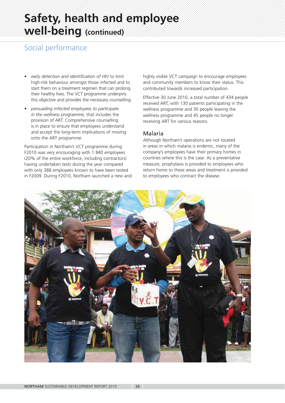# **Safety, health and employee well-being (continued)**

### Social performance

- *early detection and identification of HIV* to limit high-risk behaviour amongst those infected and to start them on a treatment regimen that can prolong their healthy lives. The VCT programme underpins this objective and provides the necessary counselling.
- *persuading infected employees to participate in the wellness programme,* that includes the provision of ART. Comprehensive counselling is in place to ensure that employees understand and accept the long-term implications of moving onto the ART programme.

Participation in Northam's VCT programme during F2010 was very encouraging with 1 840 employees (20% of the entire workforce, including contractors) having undertaken tests during the year compared with only 388 employees known to have been tested in F2009. During F2010, Northam launched a new and highly visible VCT campaign to encourage employees and community members to know their status. This contributed towards increased participation.

Effective 30 June 2010, a total number of 434 people received ART, with 130 patients participating in the wellness programme and 30 people leaving the wellness programme and 45 people no longer receiving ART for various reasons.

### Malaria

Although Northam's operations are not located in areas in which malaria is endemic, many of the company's employees have their primary homes in countries where this is the case. As a preventative measure, prophylaxis is provided to employees who return home to these areas and treatment is provided to employees who contract the disease.

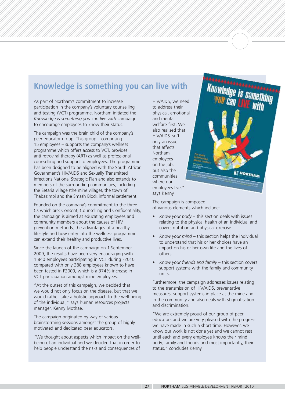### **Knowledge is something you can live with**

As part of Northam's commitment to increase participation in the company's voluntary counselling and testing (VCT) programme, Northam initiated the *Knowledge is something you can live with* campaign to encourage employees to know their status.

The campaign was the brain child of the company's peer educator group. This group – comprising 15 employees – supports the company's wellness programme which offers access to VCT, provides anti-retroviral therapy (ART) as well as professional counselling and support to employees. The programme has been designed to be aligned with the South African Government's HIV/AIDS and Sexually Transmitted Infections National Strategic Plan and also extends to members of the surrounding communities, including the Setaria village (the mine village), the town of Thabazimbi and the Smash Block informal settlement.

Founded on the company's commitment to the three Cs which are: Consent, Counselling and Confidentiality, the campaign is aimed at educating employees and community members about the causes of HIV, prevention methods, the advantages of a healthy lifestyle and how entry into the wellness programme can extend their healthy and productive lives.

Since the launch of the campaign on 1 September 2009, the results have been very encouraging with 1 840 employees participating in VCT during F2010 compared with only 388 employees known to have been tested in F2009, which is a 374% increase in VCT participation amongst mine employees.

"At the outset of this campaign, we decided that we would not only focus on the disease, but that we would rather take a holistic approach to the well-being of the individual," says human resources projects manager, Kenny Mothae.

The campaign originated by way of various brainstorming sessions amongst the group of highly motivated and dedicated peer educators.

"We thought about aspects which impact on the wellbeing of an individual and we decided that in order to help people understand the risks and consequences of

HIV/AIDS, we need to address their physical, emotional and mental welfare first. We also realised that HIV/AIDS isn't only an issue that affects Northam employees on the job, but also the communities where our employees live," says Kenny.



The campaign is composed of various elements which include:

- *Know your body* this section deals with issues relating to the physical health of an individual and covers nutrition and physical exercise.
- *Know your mind* this section helps the individual to understand that his or her choices have an impact on his or her own life and the lives of others.
- *Know your friends and family* this section covers support systems with the family and community units.

Furthermore, the campaign addresses issues relating to the transmission of HIV/AIDS, preventative measures, support systems in place at the mine and in the community and also deals with stigmatisation and discrimination.

"We are extremely proud of our group of peer educators and we are very pleased with the progress we have made in such a short time. However, we know our work is not done yet and we cannot rest until each and every employee knows their mind, body, family and friends and most importantly, their status," concludes Kenny.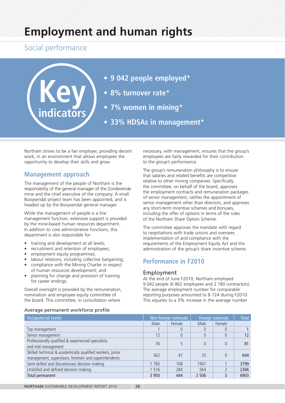# **Employment and human rights**

### Social performance



- **9 042 people employed\***
- **8% turnover rate\***
- **7% women in mining\***
- **33% HDSAs in management\***

Northam strives to be a fair employer, providing decent work, in an environment that allows employees the opportunity to develop their skills and grow.

### **Management approach**

The management of the people of Northam is the responsibility of the general manager of the Zondereinde mine and the chief executive of the company. A small Booysendal project team has been appointed, and is headed up by the Booysendal general manager.

While the management of people is a line management function, extensive support is provided by the mine-based human resources department. In addition to core administrative functions, this department is also responsible for:

- training and development at all levels;
- recruitment and retention of employees;
- employment equity programmes;
- labour relations, including collective bargaining;
- compliance with the Mining Charter in respect of human resources development; and
- planning for change and provision of training for career endings.

Overall oversight is provided by the remuneration, nomination and employee equity committee of the board. This committee, in consultation where

necessary, with management, ensures that the group's employees are fairly rewarded for their contribution to the group's performance.

The group's remuneration philosophy is to ensure that salaries and related benefits are competitive relative to other mining companies. Specifically, the committee, on behalf of the board, approves the employment contracts and remuneration packages of senior management, ratifies the appointment of senior management other than directors, and approves any short-term incentive schemes and bonuses, including the offer of options in terms of the rules of the Northam Share Option Scheme.

The committee approves the mandate with regard to negotiations with trade unions and oversees implementation of and compliance with the requirements of the Employment Equity Act and the administration of the group's share incentive scheme.

### **Performance in F2010**

### Employment

At the end of June F2010, Northam employed 9 042 people (6 862 employees and 2 180 contractors). The average employment number for comparable reporting purposes amounted to 8 724 during F2010. This equates to a 3% increase in the average number

### Average permanent workforce profile

| <b>Occupational Levels</b>                                                                                         |         | Non-foreign nationals | Foreign nationals |          | <b>Total</b> |
|--------------------------------------------------------------------------------------------------------------------|---------|-----------------------|-------------------|----------|--------------|
|                                                                                                                    | Male    | Female                | Male              | Female   |              |
| Top management                                                                                                     |         | $\Omega$              | $\theta$          | $\Omega$ |              |
| Senior management                                                                                                  | 12      | $\theta$              | $\theta$          | 0        | 12           |
| Professionally qualified & experienced specialists<br>and mid management                                           | 76      |                       | $\Omega$          | 0        | 81           |
| Skilled technical & academically qualified workers, junior<br>management, supervisors, foremen and superintendents | 562     | 47                    | 35                | $\Omega$ | 644          |
| Semi-skilled and discretionary decision making                                                                     | 1 7 8 3 | 108                   | 1907              |          | 3799         |
| Unskilled and defined decision making                                                                              | 1 516   | 284                   | 564               |          | 2366         |
| Total permanent                                                                                                    | 3 9 5 0 | 444                   | 2 5 0 6           |          | 6903         |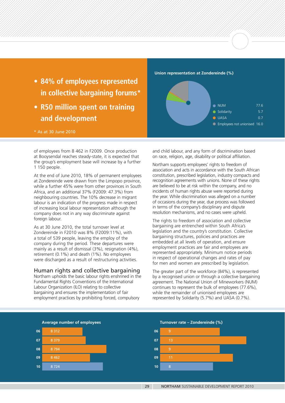- **84% of employees represented in collective bargaining forums\***
- **R50 million spent on training and development**

\* As at 30 June 2010

of employees from 8 462 in F2009. Once production at Booysendal reaches steady-state, it is expected that the group's employment base will increase by a further 1 150 people.

At the end of June 2010, 18% of permanent employees at Zondereinde were drawn from the Limpopo province, while a further 45% were from other provinces in South Africa, and an additional 37% (F2009: 47.3%) from neighbouring countries. The 10% decrease in migrant labour is an indication of the progress made in respect of increasing local labour representation although the company does not in any way discriminate against foreign labour.

As at 30 June 2010, the total turnover level at Zondereinde in F2010 was 8% (F2009:11%), with a total of 539 people, leaving the employ of the company during the period. These departures were mainly as a result of dismissal (3%), resignation (4%), retirement (0.1%) and death (1%). No employees were discharged as a result of restructuring activities.

### Human rights and collective bargaining

Northam upholds the basic labour rights enshrined in the Fundamental Rights Conventions of the International Labour Organization (ILO) relating to collective bargaining and ensures the implementation of fair employment practices by prohibiting forced, compulsory



and child labour, and any form of discrimination based on race, religion, age, disability or political affiliation.

Northam supports employees' rights to freedom of association and acts in accordance with the South African constitution, prescribed legislation, industry compacts and recognition agreements with unions. None of these rights are believed to be at risk within the company, and no incidents of human rights abuse were reported during the year. While discrimination was alleged on a number of occasions during the year, due process was followed in terms of the company's disciplinary and dispute resolution mechanisms, and no cases were upheld.

The rights to freedom of association and collective bargaining are entrenched within South Africa's legislation and the country's constitution. Collective bargaining structures, policies and practices are embedded at all levels of operation, and ensure employment practices are fair and employees are represented appropriately. Minimum notice periods in respect of operational changes and rates of pay for men and women are prescribed by legislation.

The greater part of the workforce (84%), is represented by a recognised union or through a collective bargaining agreement. The National Union of Mineworkers (NUM) continues to represent the bulk of employees (77.6%), while the remainder of unionised employees are represented by Solidarity (5.7%) and UASA (0.7%).

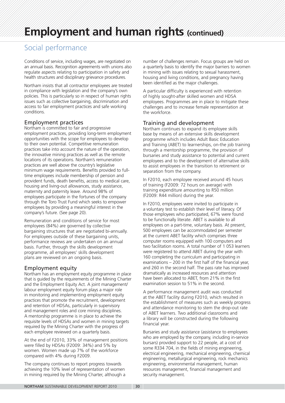# **Employment and human rights (continued)**

### Social performance

Conditions of service, including wages, are negotiated on an annual basis. Recognition agreements with unions also regulate aspects relating to participation in safety and health structures and disciplinary grievance procedures.

Northam insists that all contractor employees are treated in compliance with legislation and the company's own policies. This is particularly so in respect of human rights issues such as collective bargaining, discrimination and access to fair employment practices and safe working conditions.

### Employment practices

Northam is committed to fair and progressive employment practices, providing long-term employment opportunities with the scope for employees to develop to their own potential. Competitive remuneration practices take into account the nature of the operation, the innovative mining practices as well as the remote locations of its operations. Northam's remuneration practices are well above the country's legislative minimum wage requirements. Benefits provided to fulltime employees include membership of pension and provident funds, death benefits, access to medical care, housing and living-out allowances, study assistance, maternity and paternity leave. Around 98% of employees participate in the fortunes of the company through the Toro Trust Fund which seeks to empower employees by providing a meaningful interest in the company's future. (See page 20).

Remuneration and conditions of service for most employees (84%) are governed by collective bargaining structures that are negotiated bi-annually. For employees outside of these bargaining units, performance reviews are undertaken on an annual basis. Further, through the skills development programme, all employees' skills development plans are reviewed on an ongoing basis.

### Employment equity

Northam has an employment equity programme in place that is guided by the requirements of the Mining Charter and the Employment Equity Act. A joint management/ labour employment equity forum plays a major role in monitoring and implementing employment equity practices that promote the recruitment, development and retention of HDSAs, particularly in supervisory and management roles and core mining disciplines. A mentorship programme is in place to achieve the requisite levels of HDSAs and women in mining targets required by the Mining Charter with the progress of each employee reviewed on a quarterly basis.

At the end of F2010, 33% of management positions were filled by HDSAs (F2009: 34%) and 5% by women. Women made up 7% of the workforce compared with 4% during F2009.

The company continues to report progress towards achieving the 10% level of representation of women in mining required by the Mining Charter, although a

number of challenges remain. Focus groups are held on a quarterly basis to identify the major barriers to women in mining with issues relating to sexual harassment, housing and living conditions, and pregnancy having been identified as the major challenges.

A particular difficulty is experienced with retention of highly sought-after skilled women and HDSA employees. Programmes are in place to mitigate these challenges and to increase female representation at the workforce.

### Training and development

Northam continues to expand its employee skills base by means of an extensive skills development programme which includes Adult Basic Education and Training (ABET) to learnerships, on-the job training through a mentorship programme, the provision of bursaries and study assistance to potential and current employees and to the development of alternative skills to assist employees in the transition to retirement or separation from the company.

In F2010, each employee received around 45 hours of training (F2009: 72 hours on average) with training expenditure amounting to R50 million (F2009: R44 million) during the year.

In F2010, employees were invited to participate in a voluntary test to establish their level of literacy. Of those employees who participated, 67% were found to be functionally literate. ABET is available to all employees on a part-time, voluntary basis. At present, 500 employees can be accommodated per semester at the current ABET facility which comprises three computer rooms equipped with 100 computers and two facilitation rooms. A total number of 1 053 learners were registered to attend ABET during the year with 160 completing the curriculum and participating in examinations – 200 in the first half of the financial year, and 260 in the second half. The pass rate has improved dramatically as increased resources and attention have been allocated to ABET, from 21% in the first examination session to 51% in the second.

A performance management audit was conducted at the ABET facility during F2010, which resulted in the establishment of measures such as weekly progress and attendance monitoring to stem the drop-out rate of ABET learners. Two additional classrooms and a library will be constructed during the following financial year.

Bursaries and study assistance (assistance to employees who are employed by the company, including in-service bursars) provided support to 22 people, at a cost of some R334 704, in the fields of mining engineering, electrical engineering, mechanical engineering, chemical engineering, metallurgical engineering, rock mechanics engineering, environmental management, human resources management, financial management and security management.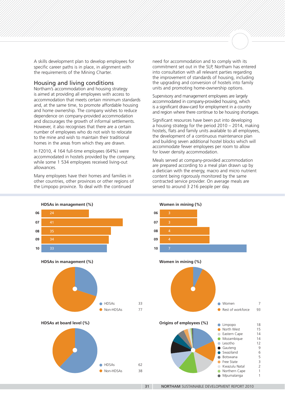A skills development plan to develop employees for specific career paths is in place, in alignment with the requirements of the Mining Charter.

### Housing and living conditions

Northam's accommodation and housing strategy is aimed at providing all employees with access to accommodation that meets certain minimum standards and, at the same time, to promote affordable housing and home ownership. The company wishes to reduce dependence on company-provided accommodation and discourages the growth of informal settlements. However, it also recognises that there are a certain number of employees who do not wish to relocate to the mine and wish to maintain their traditional homes in the areas from which they are drawn.

In F2010, 4 164 full-time employees (64%) were accommodated in hostels provided by the company, while some 1 534 employees received living-out allowances.

Many employees have their homes and families in other countries, other provinces or other regions of the Limpopo province. To deal with the continued

need for accommodation and to comply with its commitment set out in the SLP, Northam has entered into consultation with all relevant parties regarding the improvement of standards of housing, including the upgrading and conversion of hostels into family units and promoting home-ownership options.

Supervisory and management employees are largely accommodated in company-provided housing, which is a significant draw-card for employment in a country and region where there continue to be housing shortages.

Significant resources have been put into developing a housing strategy for the period 2010 – 2014, making hostels, flats and family units available to all employees, the development of a continuous maintenance plan and building seven additional hostel blocks which will accommodate fewer employees per room to allow for lower density accommodation.

Meals served at company-provided accommodation are prepared according to a meal plan drawn up by a dietician with the energy, macro and micro nutrient content being rigorously monitored by the same contracted service provider. On average meals are served to around 3 216 people per day.

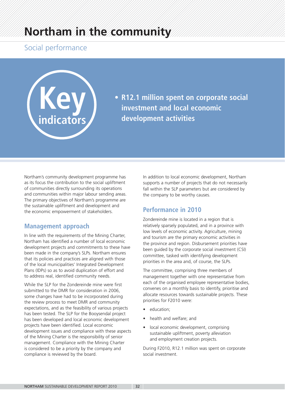# **Northam in the community**

### Social performance



**• R12.1 million spent on corporate social investment and local economic development activities**

Northam's community development programme has as its focus the contribution to the social upliftment of communities directly surrounding its operations and communities within major labour sending areas. The primary objectives of Northam's programme are the sustainable upliftment and development and the economic empowerment of stakeholders.

### **Management approach**

In line with the requirements of the Mining Charter, Northam has identified a number of local economic development projects and commitments to these have been made in the company's SLPs. Northam ensures that its policies and practices are aligned with those of the local municipalities' Integrated Development Plans (IDPs) so as to avoid duplication of effort and to address real, identified community needs.

While the SLP for the Zondereinde mine were first submitted to the DMR for consideration in 2006, some changes have had to be incorporated during the review process to meet DMR and community expectations, and as the feasibility of various projects has been tested. The SLP for the Booysendal project has been developed and local economic development projects have been identified. Local economic development issues and compliance with these aspects of the Mining Charter is the responsibility of senior management. Compliance with the Mining Charter is considered to be a priority by the company and compliance is reviewed by the board.

In addition to local economic development, Northam supports a number of projects that do not necessarily fall within the SLP parameters but are considered by the company to be worthy causes.

### **Performance in 2010**

Zondereinde mine is located in a region that is relatively sparsely populated, and in a province with low levels of economic activity. Agriculture, mining and tourism are the primary economic activities in the province and region. Disbursement priorities have been guided by the corporate social investment (CSI) committee, tasked with identifying development priorities in the area and, of course, the SLPs.

The committee, comprising three members of management together with one representative from each of the organised employee representative bodies, convenes on a monthly basis to identify, prioritise and allocate resources towards sustainable projects. These priorities for F2010 were:

- education;
- health and welfare; and
- local economic development, comprising sustainable upliftment, poverty alleviation and employment creation projects.

During F2010, R12.1 million was spent on corporate social investment.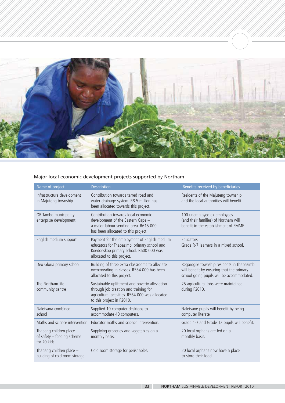

### Major local economic development projects supported by Northam

| Name of project                                                     | <b>Description</b>                                                                                                                                                      | Benefits received by beneficiaries                                                                                                    |
|---------------------------------------------------------------------|-------------------------------------------------------------------------------------------------------------------------------------------------------------------------|---------------------------------------------------------------------------------------------------------------------------------------|
| Infrastructure development<br>in Majuteng township                  | Contribution towards tarred road and<br>water drainage system. R8.5 million has<br>been allocated towards this project.                                                 | Residents of the Majuteng township<br>and the local authorities will benefit.                                                         |
| OR Tambo municipality<br>enterprise development                     | Contribution towards local economic<br>development of the Eastern Cape -<br>a major labour sending area. R615 000<br>has been allocated to this project.                | 100 unemployed ex-employees<br>(and their families) of Northam will<br>benefit in the establishment of SMME.                          |
| English medium support                                              | Payment for the employment of English medium<br>educators for Thabazimbi primary school and<br>Koedoeskop primary school. R600 000 was<br>allocated to this project.    | Educators<br>Grade R-7 learners in a mixed school.                                                                                    |
| Deo Gloria primary school                                           | Building of three extra classrooms to alleviate<br>overcrowding in classes. R554 000 has been<br>allocated to this project.                                             | Regorogile township residents in Thabazimbi<br>will benefit by ensuring that the primary<br>school going pupils will be accommodated. |
| The Northam life<br>community centre                                | Sustainable upliftment and poverty alleviation<br>through job creation and training for<br>agricultural activities. R564 000 was allocated<br>to this project in F2010. | 25 agricultural jobs were maintained<br>during F2010.                                                                                 |
| Naletsana combined<br>school                                        | Supplied 10 computer desktops to<br>accommodate 40 computers.                                                                                                           | Naletsane pupils will benefit by being<br>computer literate.                                                                          |
| Maths and science intervention                                      | Educator maths and science intervention.                                                                                                                                | Grade 1-7 and Grade 12 pupils will benefit.                                                                                           |
| Thabang children place<br>of safety - feeding scheme<br>for 20 kids | Supplying groceries and vegetables on a<br>monthly basis.                                                                                                               | 20 local orphans are fed on a<br>monthly basis.                                                                                       |
| Thabang children place -<br>building of cold room storage           | Cold room storage for perishables.                                                                                                                                      | 20 local orphans now have a place<br>to store their food.                                                                             |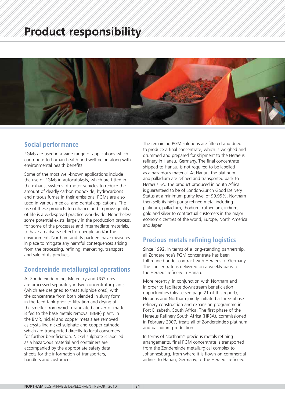# **Product responsibility**



### **Social performance**

PGMs are used in a wide range of applications which contribute to human health and well-being along with environmental health benefits.

Some of the most well-known applications include the use of PGMs in autocatalysts, which are fitted in the exhaust systems of motor vehicles to reduce the amount of deadly carbon monoxide, hydrocarbons and nitrous fumes in their emissions. PGMs are also used in various medical and dental applications. The use of these products to enhance and improve quality of life is a widespread practice worldwide. Nonetheless some potential exists, largely in the production process, for some of the processes and intermediate materials, to have an adverse effect on people and/or the environment. Northam and its partners have measures in place to mitigate any harmful consequences arising from the processing, refining, marketing, transport and sale of its products.

### **Zondereinde metallurgical operations**

At Zondereinde mine, Merensky and UG2 ores are processed separately in two concentrator plants (which are designed to treat sulphide ores), with the concentrate from both blended in slurry form in the feed tank prior to filtration and drying at the smelter from which granulated convertor matte is fed to the base metals removal (BMR) plant. In the BMR, nickel and copper metals are removed as crystalline nickel sulphate and copper cathode which are transported directly to local consumers for further beneficiation. Nickel sulphate is labelled as a hazardous material and containers are accompanied by the appropriate safety data sheets for the information of transporters, handlers and customers.

The remaining PGM solutions are filtered and dried to produce a final concentrate, which is weighed and drummed and prepared for shipment to the Heraeus refinery in Hanau, Germany. The final concentrate shipped to Hanau, is not required to be labelled as a hazardous material. At Hanau, the platinum and palladium are refined and transported back to Heraeus SA. The product produced in South Africa is guaranteed to be of London-Zurich Good Delivery Status at a minimum purity level of 99.95%. Northam then sells its high purity refined metal including platinum, palladium, rhodium, ruthenium, iridium, gold and silver to contractual customers in the major economic centres of the world, Europe, North America and Japan.

### **Precious metals refining logistics**

Since 1992, in terms of a long-standing partnership, all Zondereinde's PGM concentrate has been toll-refined under contract with Heraeus of Germany. The concentrate is delivered on a weekly basis to the Heraeus refinery in Hanau.

More recently, in conjunction with Northam and in order to facilitate downstream beneficiation opportunities (please see page 21 of this report), Heraeus and Northam jointly initiated a three-phase refinery construction and expansion programme in Port Elizabeth, South Africa. The first phase of the Heraeus Refinery South Africa (HRSA), commissioned in February 2007, treats all of Zondereinde's platinum and palladium production.

In terms of Northam's precious metals refining arrangements, final PGM concentrate is transported from the Zondereinde metallurgical complex to Johannesburg, from where it is flown on commercial airlines to Hanau, Germany, to the Heraeus refinery.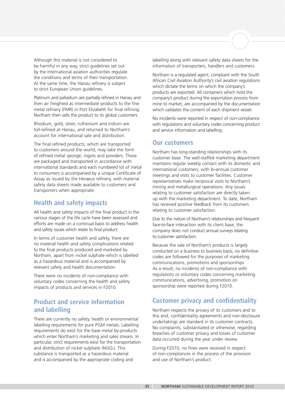Although this material is not considered to be harmful in any way, strict quidelines set out by the international aviation authorities regulate the conditions and terms of their transportation. At the same time, the Hanau refinery is subject to strict European Union guidelines.

Platinum and palladium are partially refined in Hanau and then air freighted as intermediate products to the fine metal refinery (FMR) in Port Elizabeth for final refining. Northam then sells the product to its global customers.

Rhodium, gold, silver, ruthenium and iridium are toll-refined at Hanau, and returned to Northam's account for international sale and distribution.

The final refined products, which are transported to customers around the world, may take the form of refined metal sponge, ingots and powders. These are packaged and transported in accordance with international standards and each numbered lot of metal to consumers is accompanied by a unique Certificate of Assay as issued by the Heraeus refinery, with material safety data sheets made available to customers and transporters when appropriate.

### **Health and safety impacts**

All health and safety impacts of the final product in the various stages of the life cycle have been assessed and efforts are made on a continual basis to address health and safety issues which relate to final product.

In terms of customer health and safety, there are no material health and safety complications related to the final products produced and marketed by Northam, apart from nickel sulphate which is labelled as a hazardous material and is accompanied by relevant safety and health documentation.

There were no incidents of non-compliance with voluntary codes concerning the health and safety impacts of products and services in F2010.

### **Product and service information and labelling**

There are currently no safety, health or environmental labelling requirements for pure PGM metals. Labelling requirements do exist for the base metal by-products which enter Northam's marketing and sales stream. In particular, strict requirements exist for the transportation and distribution of nickel sulphate (NiSO4). This substance is transported as a hazardous material and is accompanied by the appropriate coding and

labelling along with relevant safety data sheets for the information of transporters, handlers and customers.

Northam is a regulated agent, compliant with the South African Civil Aviation Authority's civil aviation regulations which dictate the terms on which the company's products are exported. All containers which hold the company's product during the exportation process from mine to market, are accompanied by the documentation which validates the content of each shipment vessel.

No incidents were reported in respect of non-compliance with regulations and voluntary codes concerning product and service information and labelling.

### **Our customers**

Northam has long-standing relationships with its customer base. The well-staffed marketing department maintains regular weekly contact with its domestic and international customers, with bi-annual customer meetings and visits to customer facilities. Customer representatives make reciprocal visits to Northam's mining and metallurgical operations. Any issues relating to customer satisfaction are directly taken up with the marketing department. To date, Northam has received positive feedback from its customers relating to customer satisfaction.

Due to the nature of Northam's relationships and frequent face-to-face interaction with its client base, the company does not conduct annual surveys relating to customer satisfaction.

Because the sale of Northam's products is largely conducted on a business to business basis, no definitive codes are followed for the purposes of marketing communications, promotions and sponsorships. As a result, no incidents of non-compliance with regulations or voluntary codes concerning marketing communications, advertising, promotion on sponsorship were reported during F2010.

### **Customer privacy and confidentiality**

Northam respects the privacy of its customers and to this end, confidentiality agreements and non-disclosure undertakings are standard in its customer contracts. No complaints, substantiated or otherwise, regarding breaches of customer privacy and losses of customer data occurred during the year under review.

During F2010, no fines were received in respect of non-compliances in the process of the provision and use of Northam's product.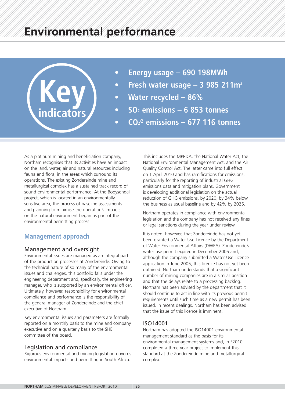

- **Energy usage 690 198MWh**
- **Fresh water usage 3 985 211m3**
- **Water recycled 86%**
- **SO2 emissions 6 853 tonnes**
- **CO2e emissions 677 116 tonnes**

As a platinum mining and beneficiation company, Northam recognises that its activities have an impact on the land, water, air and natural resources including fauna and flora, in the areas which surround its operations. The existing Zondereinde mine and metallurgical complex has a sustained track record of sound environmental performance. At the Booysendal project, which is located in an environmentally sensitive area, the process of baseline assessments and planning to minimise the operation's impacts on the natural environment began as part of the environmental permitting process.

### **Management approach**

### Management and oversight

Environmental issues are managed as an integral part of the production processes at Zondereinde. Owing to the technical nature of so many of the environmental issues and challenges, this portfolio falls under the engineering department and, specifically, the engineering manager, who is supported by an environmental officer. Ultimately, however, responsibility for environmental compliance and performance is the responsibility of the general manager of Zondereinde and the chief executive of Northam.

Key environmental issues and parameters are formally reported on a monthly basis to the mine and company executive and on a quarterly basis to the SHE committee of the board.

### Legislation and compliance

Rigorous environmental and mining legislation governs environmental impacts and permitting in South Africa.

This includes the MPRDA, the National Water Act, the National Environmental Management Act, and the Air Quality Control Act. The latter came into full effect on 1 April 2010 and has ramifications for emissions, particularly for the reporting of industrial GHG emissions data and mitigation plans. Government is developing additional legislation on the actual reduction of GHG emissions, by 2020, by 34% below the business as usual baseline and by 42% by 2025.

Northam operates in compliance with environmental legislation and the company has not received any fines or legal sanctions during the year under review.

It is noted, however, that Zondereinde has not yet been granted a Water Use Licence by the Department of Water Environmental Affairs (DWEA). Zondereinde's water use permit expired in December 2005 and, although the company submitted a Water Use Licence application in June 2005, this licence has not yet been obtained. Northam understands that a significant number of mining companies are in a similar position and that the delays relate to a processing backlog. Northam has been advised by the department that it should continue to act in line with its previous permit requirements until such time as a new permit has been issued. In recent dealings, Northam has been advised that the issue of this licence is imminent.

### ISO14001

Northam has adopted the ISO14001 environmental management standard as the basis for its environmental management systems and, in F2010, completed a three-year project to implement this standard at the Zondereinde mine and metallurgical complex.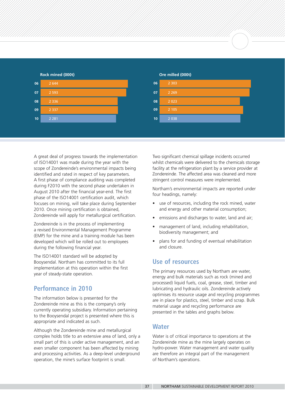



A great deal of progress towards the implementation of ISO14001 was made during the year with the scope of Zondereinde's environmental impacts being identified and rated in respect of key parameters. A first phase of compliance auditing was completed during F2010 with the second phase undertaken in August 2010 after the financial year-end. The first phase of the ISO14001 certification audit, which focuses on mining, will take place during September 2010. Once mining certification is obtained, Zondereinde will apply for metallurgical certification.

Zondereinde is in the process of implementing a revised Environmental Management Programme (EMP) for the mine and a training module has been developed which will be rolled out to employees during the following financial year.

The ISO14001 standard will be adopted by Booysendal. Northam has committed to its full implementation at this operation within the first year of steady-state operation.

### **Performance in 2010**

The information below is presented for the Zondereinde mine as this is the company's only currently operating subsidiary. Information pertaining to the Booysendal project is presented where this is appropriate and indicated as such.

Although the Zondereinde mine and metallurgical complex holds title to an extensive area of land, only a small part of this is under active management, and an even smaller component has been affected by mining and processing activities. As a deep-level underground operation, the mine's surface footprint is small.

Two significant chemical spillage incidents occurred whilst chemicals were delivered to the chemicals storage facility at the refrigeration plant by a service provider at Zondereinde. The affected area was cleaned and more stringent control measures were implemented.

Northam's environmental impacts are reported under four headings, namely:

- use of resources, including the rock mined, water and energy and other material consumption;
- emissions and discharges to water, land and air:
- management of land, including rehabilitation, biodiversity management; and
- plans for and funding of eventual rehabilitation and closure.

### **Use of resources**

The primary resources used by Northam are water, energy and bulk materials such as rock (mined and processed) liquid fuels, coal, grease, steel, timber and lubricating and hydraulic oils. Zondereinde actively optimises its resource usage and recycling programmes are in place for plastics, steel, timber and scrap. Bulk material usage and recycling performance are presented in the tables and graphs below.

### **Water**

Water is of critical importance to operations at the Zondereinde mine as the mine largely operates on hydro-power. Water management and water quality are therefore an integral part of the management of Northam's operations.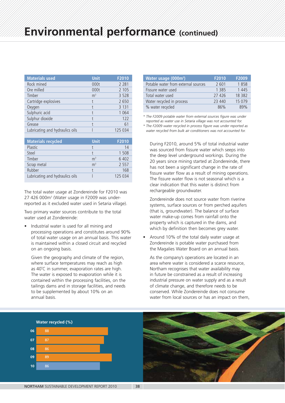| <b>Materials used</b>           | <b>Unit</b>    | F2010   |
|---------------------------------|----------------|---------|
| Rock mined                      | 000t           | 2 2 8 1 |
| Ore milled                      | 000t           | 2 1 0 5 |
| Timber                          | m <sup>3</sup> | 3 5 2 8 |
| Cartridge explosives            |                | 2650    |
| Oxygen                          |                | 3 1 3 1 |
| Sulphuric acid                  |                | 1 0 6 4 |
| Sulphur dioxide                 |                | 122     |
| Grease                          |                | 61      |
| Lubricating and hydraulics oils |                | 125 034 |

| <b>Materials recycled</b>       | <b>Unit</b>    | F2010   |
|---------------------------------|----------------|---------|
| Plastic                         |                | 14      |
| Steel                           |                | 1 508   |
| Timber                          | m <sup>3</sup> | 6402    |
| Scrap metal                     | m <sup>3</sup> | 2 5 5 7 |
| Rubber                          |                | 168     |
| Lubricating and hydraulics oils |                | 125 034 |

The total water usage at Zondereinde for F2010 was 27 426 000m<sup>3</sup> (Water usage in F2009 was underreported as it excluded water used in Setaria village).

Two primary water sources contribute to the total water used at Zondereinde:

• Industrial water is used for all mining and processing operations and constitutes around 90% of total water usage on an annual basis. This water is maintained within a closed circuit and recycled on an ongoing basis.

Given the geography and climate of the region, where surface temperatures may reach as high as 40˚C in summer, evaporation rates are high. The water is exposed to evaporation while it is contained within the processing facilities, on the tailings dams and in storage facilities, and needs to be supplemented by about 10% on an annual basis.

| Water usage (000m <sup>3</sup> )    | F2010   | F2009   |
|-------------------------------------|---------|---------|
| Potable water from external sources | 2 601   | 1858    |
| Fissure water used                  | 1 3 8 5 | 1 4 4 5 |
| Total water used                    | 27 426  | 18 382  |
| Water recycled in process           | 23 440  | 15 0 79 |
| % water recycled                    | 86%     | 89%     |

*\* The F2009 potable water from external sources figure was under reported as water use in Setaria village was not accounted for.*

*\* The F2009 water recycled in process figure was under reported as water recycled from bulk air conditioners was not accounted for.*

During F2010, around 5% of total industrial water was sourced from fissure water which seeps into the deep level underground workings. During the 20 years since mining started at Zondereinde, there has not been a significant change in the rate of fissure water flow as a result of mining operations. The fissure water flow is not seasonal which is a clear indication that this water is distinct from rechargeable groundwater.

Zondereinde does not source water from riverine systems, surface sources or from perched aquifers (that is, groundwater). The balance of surface water make-up comes from rainfall onto the property which is captured in the dams, and which by definition then becomes grey water.

• Around 10% of the total daily water usage at Zondereinde is potable water purchased from the Magalies Water Board on an annual basis.

As the company's operations are located in an area where water is considered a scarce resource, Northam recognises that water availability may in future be constrained as a result of increasing industrial pressure on water supply and as a result of climate change, and therefore needs to be conserved. While Zondereinde does not consume water from local sources or has an impact on them,



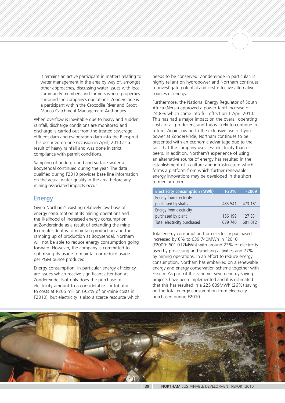it remains an active participant in matters relating to water management in the area by way of, amongst other approaches, discussing water issues with local community members and farmers whose properties surround the company's operations. Zondereinde is a participant within the Crocodile River and Groot Marico Catchment Management Authorities.

When overflow is inevitable due to heavy and sudden rainfall, discharge conditions are monitored and discharge is carried out from the treated sewerage effluent dam and evaporation dam into the Bierspruit. This occurred on one occasion in April, 2010 as a result of heavy rainfall and was done in strict compliance with permit conditions.

Sampling of underground and surface water at Booysendal continued during the year. The data qualified during F2010 provides base line information on the actual water quality in the area before any mining-associated impacts occur.

### **Energy**

Given Northam's existing relatively low base of energy consumption at its mining operations and the likelihood of increased energy consumption at Zondereinde as a result of extending the mine to greater depths to maintain production and the ramping up of production at Booysendal, Northam will not be able to reduce energy consumption going forward. However, the company is committed to optimising its usage to maintain or reduce usage per PGM ounce produced.

Energy consumption, in particular energy efficiency, are issues which receive significant attention at Zondereinde. Not only does the purchase of electricity amount to a considerable contributor to costs at R205 million (9.2% of on-mine costs in F2010), but electricity is also a scarce resource which

needs to be conserved. Zondereinde in particular, is highly reliant on hydropower and Northam continues to investigate potential and cost-effective alternative sources of energy.

Furthermore, the National Energy Regulator of South Africa (Nersa) approved a power tariff increase of 24.8% which came into full effect on 1 April 2010. This has had a major impact on the overall operating costs of all producers, and this is likely to continue in future. Again, owing to the extensive use of hydropower at Zondereinde, Northam continues to be presented with an economic advantage due to the fact that the company uses less electricity than its peers. In addition, Northam's experience of using an alternative source of energy has resulted in the establishment of a culture and infrastructure which forms a platform from which further renewable energy innovations may be developed in the short to medium term.

| <b>Electricity consumption (MWh)</b> | F2010   | F2009   |
|--------------------------------------|---------|---------|
| Energy from electricity              |         |         |
| purchased by shafts                  | 483 541 | 473 181 |
| Energy from electricity              |         |         |
| purchased by plant                   | 156 199 | 127831  |
| Total electricity purchased          | 639 740 | 601 012 |

Total energy consumption from electricity purchased increased by 6% to 639 740MWh in F2010 (F2009: 601 012MWh) with around 23% of electricity used by processing and smelting activities and 77% by mining operations. In an effort to reduce energy consumption, Northam has embarked on a renewable energy and energy conservation scheme together with Eskom. As part of this scheme, seven energy saving projects have been implemented and it is estimated that this has resulted in a 225 609MWh (26%) saving on the total energy consumption from electricity purchased during F2010.

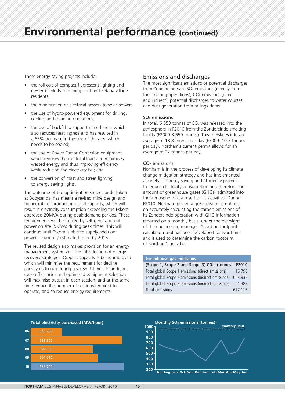These energy saving projects include:

- the roll-out of compact fluorescent lighting and geyser blankets to mining staff and Setaria village residents;
- the modification of electrical geysers to solar power:
- the use of hydro-powered equipment for drilling, cooling and cleaning operations;
- the use of backfill to support mined areas which also reduces heat ingress and has resulted in a 65% decrease in the size of the area which needs to be cooled;
- the use of Power Factor Correction equipment which reduces the electrical load and minimises wasted energy and thus improving efficiency while reducing the electricity bill; and
- the conversion of mast and street lighting to energy saving lights.

The outcome of the optimisation studies undertaken at Booysendal has meant a revised mine design and higher rate of production at full capacity, which will result in electricity consumption exceeding the Eskom approved 20MVA during peak demand periods. These requirements will be fulfiled by self-generation of power on site (5MVA) during peak times. This will continue until Eskom is able to supply additional power – currently estimated to be by 2015.

The revised design also makes provision for an energy management system and the introduction of energy recovery strategies. Orepass capacity is being improved which will minimise the requirement for decline conveyors to run during peak shift times. In addition, cycle efficiencies and optimised equipment selection will maximise output in each section, and at the same time reduce the number of sections required to operate, and so reduce energy requirements.

### Emissions and discharges

The most significant emissions or potential discharges from Zondereinde are SO<sub>2</sub> emissions (directly from the smelting operations),  $CO<sub>2</sub>$  emissions (direct and indirect), potential discharges to water courses and dust generation from tailings dams.

### $SO<sub>2</sub>$  emissions

In total,  $6853$  tonnes of  $SO<sub>2</sub>$  was released into the atmosphere in F2010 from the Zondereinde smelting facility (F2009:3 650 tonnes). This translates into an average of 18.8 tonnes per day (F2009: 10.3 tonnes per day). Northam's current permit allows for an average of 32 tonnes per day.

### CO2 emissions

Northam is in the process of developing its climate change mitigation strategy and has implemented a variety of energy saving and efficiency projects to reduce electricity consumption and therefore the amount of greenhouse gases (GHGs) admitted into the atmosphere as a result of its activities. During F2010, Northam placed a great deal of emphasis on accurately calculating the carbon emissions of its Zondereinde operation with GHG information reported on a monthly basis, under the oversight of the engineering manager. A carbon footprint calculation tool has been developed for Northam and is used to determine the carbon footprint of Northam's activities.

### **Greenhouse gas emissions**

| (Scope 1, Scope 2 and Scope 3) CO <sub>2</sub> e (tonnes) F2010 |         |
|-----------------------------------------------------------------|---------|
| Total global Scope 1 emissions (direct emissions)               | 16 796  |
| Total global Scope 2 emissions (indirect emissions) 658 932     |         |
| Total global Scope 3 emissions (indirect emissions)             | 1 388   |
| Total emissions                                                 | 677 116 |



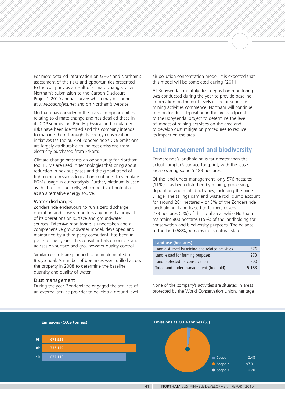For more detailed information on GHGs and Northam's assessment of the risks and opportunities presented to the company as a result of climate change, view Northam's submission to the Carbon Disclosure Project's 2010 annual survey which may be found at *www.cdproject.net* and on Northam's website.

Northam has considered the risks and opportunities relating to climate change and has detailed these in its CDP submission. Briefly, physical and regulatory risks have been identified and the company intends to manage them through its energy conservation initiatives (as the bulk of Zondereinde's  $CO<sub>2</sub>$  emissions are largely attributable to indirect emissions from electricity purchased from Eskom).

Climate change presents an opportunity for Northam too. PGMs are used in technologies that bring about reduction in noxious gases and the global trend of tightening emissions legislation continues to stimulate PGMs usage in autocatalysis. Further, platinum is used as the basis of fuel cells, which hold vast potential as an alternative energy source.

### Water discharges

Zondereinde endeavours to run a zero discharge operation and closely monitors any potential impact of its operations on surface and groundwater sources. Extensive monitoring is undertaken and a comprehensive groundwater model, developed and maintained by a third party consultant, has been in place for five years. This consultant also monitors and advises on surface and groundwater quality control.

Similar controls are planned to be implemented at Booysendal. A number of boreholes were drilled across the property in 2008 to determine the baseline quantity and quality of water.

### Dust management

During the year, Zondereinde engaged the services of an external service provider to develop a ground level

air pollution concentration model. It is expected that this model will be completed during F2011.

At Booysendal, monthly dust deposition monitoring was conducted during the year to provide baseline information on the dust levels in the area before mining activities commence. Northam will continue to monitor dust deposition in the areas adjacent to the Booysendal project to determine the level of impact of mining activities on the area and to develop dust mitigation procedures to reduce its impact on the area.

### **Land management and biodiversity**

Zondereinde's landholding is far greater than the actual complex's surface footprint, with the lease area covering some 5 183 hectares.

Of the land under management, only 576 hectares (11%), has been disturbed by mining, processing, deposition and related activities, including the mine village. The tailings dam and waste rock dump account for around 281 hectares – or 5% of the Zondereinde landholding. Land leased to farmers covers 273 hectares (5%) of the total area, while Northam maintains 800 hectares (15%) of the landholding for conservation and biodiversity purposes. The balance of the land (68%) remains in its natural state.

| Land use (hectares)                             |         |
|-------------------------------------------------|---------|
| Land disturbed by mining and related activities | 576     |
| Land leased for farming purposes                | 273     |
| Land protected for conservation                 | 800     |
| Total land under management (freehold)          | 5 1 8 3 |

None of the company's activities are situated in areas protected by the World Conservation Union, heritage

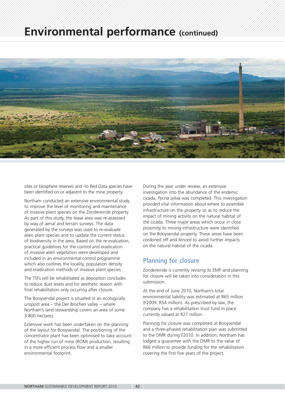# **Environmental performance (continued)**



sites or biosphere reserves and no Red Data species have been identified on or adjacent to the mine property.

Northam conducted an extensive environmental study to improve the level of monitoring and maintenance of invasive plant species on the Zondereinde property. As part of this study, the lease area was re-assessed by way of aerial and terrain surveys. The data generated by the surveys was used to re-evaluate alien plant species and to update the current status of biodiversity in the area. Based on the re-evaluation, practical guidelines for the control and eradication of invasive alien vegetation were developed and included in an environmental control programme which also outlines the locality, population density and eradication methods of invasive plant species.

The TSFs will be rehabilitated as deposition concludes to reduce dust levels and for aesthetic reason with final rehabilitation only occuring after closure.

The Booysendal project is situated in an ecologically unspoilt area – the Der Brochen valley – where Northam's land stewardship covers an area of some 3 800 hectares.

Extensive work has been undertaken on the planning of the layout for Booysendal. The positioning of the concentrator plant has been optimised to take account of the higher run of mine (ROM) production, resulting in a more efficient process flow and a smaller environmental footprint.

During the year under review, an extensive investigation into the abundance of the endemic cicada, *Pycna sylvia* was completed. This investigation provided vital information about where to assemble infrastructure on the property so as to reduce the impact of mining activity on the natural habitat of the cicada. Three major areas which occur in close proximity to mining infrastructure were identified on the Booysendal property. These areas have been cordoned off and fenced to avoid further impacts on the natural habitat of the cicada.

### **Planning for closure**

Zondereinde is currently revising its EMP and planning for closure will be taken into consideration in this submission.

At the end of June 2010, Northam's total environmental liability was estimated at R65 million (F2009: R54 million). As prescribed by law, the company has a rehabilitation trust fund in place currently valued at R27 million.

Planning for closure was completed at Booysendal and a three-phased rehabilitation plan was submitted to the DMR during F2010. In addition, Northam has lodged a guarantee with the DMR to the value of R66 million to provide funding for the rehabilitation covering the first five years of the project.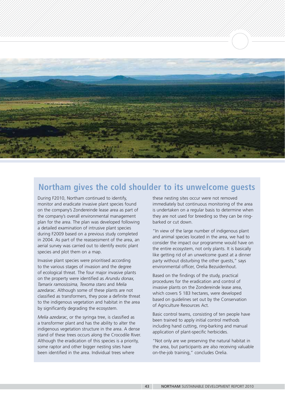

### **Northam gives the cold shoulder to its unwelcome guests**

During F2010, Northam continued to identify, monitor and eradicate invasive plant species found on the company's Zondereinde lease area as part of the company's overall environmental management plan for the area. The plan was developed following a detailed examination of intrusive plant species during F2009 based on a previous study completed in 2004. As part of the reassessment of the area, an aerial survey was carried out to identify exotic plant species and plot them on a map.

Invasive plant species were prioritised according to the various stages of invasion and the degree of ecological threat. The four major invasive plants on the property were identified as *Arundu donax, Tamarix ramosissima, Texoma stans* and *Melia azedarac*. Although some of these plants are not classified as transformers, they pose a definite threat to the indigenous vegetation and habitat in the area by significantly degrading the ecosystem.

*Melia azedarac*, or the syringa tree, is classified as a transformer plant and has the ability to alter the indigenous vegetation structure in the area. A dense stand of these trees occurs along the Crocodile River. Although the eradication of this species is a priority, some raptor and other bigger nesting sites have been identified in the area. Individual trees where

these nesting sites occur were not removed immediately but continuous monitoring of the area is undertaken on a regular basis to determine when they are not used for breeding so they can be ringbarked or cut down.

"In view of the large number of indigenous plant and animal species located in the area, we had to consider the impact our programme would have on the entire ecosystem, not only plants. It is basically like getting rid of an unwelcome guest at a dinner party without disturbing the other guests," says environmental officer, Orelia Bezuidenhout.

Based on the findings of the study, practical procedures for the eradication and control of invasive plants on the Zondereinde lease area, which covers 5 183 hectares, were developed based on guidelines set out by the Conservation of Agriculture Resources Act.

Basic control teams, consisting of ten people have been trained to apply initial control methods including hand cutting, ring-barking and manual application of plant-specific herbicides.

"Not only are we preserving the natural habitat in the area, but participants are also receiving valuable on-the-job training," concludes Orelia.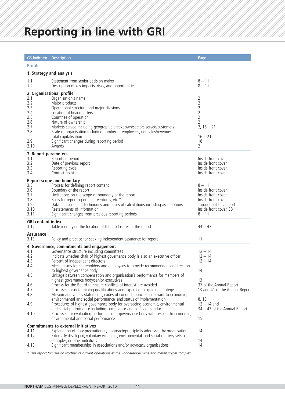# **Reporting in line with GRI**

| G3 Indicator Description                   |                                                                                                          | Page                           |  |  |  |
|--------------------------------------------|----------------------------------------------------------------------------------------------------------|--------------------------------|--|--|--|
| <b>Profile</b>                             |                                                                                                          |                                |  |  |  |
|                                            | 1. Strategy and analysis                                                                                 |                                |  |  |  |
| 1.1<br>1.2                                 | Statement from senior decision maker<br>Description of key impacts, risks, and opportunities             | $8 - 11$<br>$8 - 11$           |  |  |  |
|                                            | 2. Organisational profile                                                                                |                                |  |  |  |
| 2.1                                        | Organisation's name                                                                                      | 2                              |  |  |  |
| 2.2                                        | Major products                                                                                           | $\sqrt{2}$                     |  |  |  |
| 2.3                                        | Operational structure and major divisions                                                                | $\overline{2}$                 |  |  |  |
| 2.4                                        | Location of headquarters                                                                                 | $\overline{2}$                 |  |  |  |
| 2.5                                        | Countries of operation                                                                                   | $\overline{2}$                 |  |  |  |
| 2.6                                        | Nature of ownership                                                                                      | $\overline{2}$                 |  |  |  |
| 2.7                                        | Markets served including geographic breakdown/sectors served/customers                                   | $2, 16 - 21$                   |  |  |  |
| 2.8                                        | Scale of organisation including number of employees, net sales/revenues,                                 |                                |  |  |  |
|                                            | total capitalisation                                                                                     | $16 - 21$                      |  |  |  |
| 2.9                                        | Significant changes during reporting period                                                              | 18                             |  |  |  |
| 2.10                                       | Awards                                                                                                   | $\overline{2}$                 |  |  |  |
| 3. Report parameters                       |                                                                                                          |                                |  |  |  |
| 3.1                                        | Reporting period                                                                                         | Inside front cover             |  |  |  |
| 3.2                                        | Date of previous report                                                                                  | Inside front cover             |  |  |  |
| 3.3                                        | Reporting cycle                                                                                          | Inside front cover             |  |  |  |
| 3.4                                        | Contact point                                                                                            | Inside front cover             |  |  |  |
|                                            | <b>Report scope and boundary</b>                                                                         |                                |  |  |  |
| 3.5                                        | Process for defining report content                                                                      | $8 - 11$                       |  |  |  |
| 3.6                                        | Boundary of the report                                                                                   | Inside front cover             |  |  |  |
| 3.7                                        | Limitations on the scope or boundary of the report                                                       | Inside front cover             |  |  |  |
| 3.8                                        | Basis for reporting on joint ventures, etc.*                                                             | Inside front cover             |  |  |  |
| 3.9                                        | Data measurement techniques and bases of calculations including assumptions                              | Throughout this report         |  |  |  |
| 3.10                                       | Restatements of information                                                                              | Inside front cover, 38         |  |  |  |
| 3.11                                       | Significant changes from previous reporting periods                                                      | $8 - 11$                       |  |  |  |
| <b>GRI</b> content index                   |                                                                                                          |                                |  |  |  |
| 3.12                                       | Table identifying the location of the disclosures in the report                                          | $44 - 47$                      |  |  |  |
|                                            |                                                                                                          |                                |  |  |  |
| Assurance<br>3.13                          | Policy and practice for seeking independent assurance for report                                         | 11                             |  |  |  |
|                                            |                                                                                                          |                                |  |  |  |
|                                            | 4. Governance, commitments and engagement                                                                |                                |  |  |  |
| 4.1                                        | Governance structure including committees                                                                | $12 - 14$                      |  |  |  |
| 4.2                                        | Indicate whether chair of highest governance body is also an executive officer                           | $12 - 14$                      |  |  |  |
| 4.3                                        | Percent of independent directors                                                                         | $12 - 14$                      |  |  |  |
| 4.4                                        | Mechanisms for shareholders and employees to provide recommendations/direction                           |                                |  |  |  |
| 4.5                                        | to highest governance body<br>Linkage between compensation and organisation's performance for members of | 14                             |  |  |  |
|                                            | highest governance body/senior executives                                                                | 13                             |  |  |  |
| 4.6                                        | Process for the Board to ensure conflicts of interest are avoided                                        | 37 of the Annual Report        |  |  |  |
| 4.7                                        | Processes for determining qualifications and expertise for guiding strategy                              | 13 and 41 of the Annual Report |  |  |  |
| 4.8                                        | Mission and values statements, codes of conduct, principles relevant to economic,                        |                                |  |  |  |
|                                            | environmental and social performance, and status of implementation                                       | 8, 15                          |  |  |  |
| 4.9                                        | Procedures of highest governance body for overseeing economic, environmental                             | $12 - 14$ and                  |  |  |  |
|                                            | and social performance including compliance and codes of conduct                                         | $34 - 43$ of the Annual Report |  |  |  |
| 4.10                                       | Processes for evaluating performance of governance body with respect to economic,                        |                                |  |  |  |
|                                            | environmental and social performance                                                                     | 15                             |  |  |  |
| <b>Commitments to external initiatives</b> |                                                                                                          |                                |  |  |  |
| 4.11                                       | Explanation of how precautionary approach/principle is addressed by organisation                         | 14                             |  |  |  |
| 4.12                                       | Externally developed, voluntary economic, environmental, and social charters, sets of                    |                                |  |  |  |
|                                            | principles, or other initiatives                                                                         | 14                             |  |  |  |
| 4.13                                       | Significant memberships in associations and/or advocacy organisations                                    | 14                             |  |  |  |
|                                            |                                                                                                          |                                |  |  |  |

*\* This report focuses on Northam's current operations at the Zondereinde mine and metallurgical complex*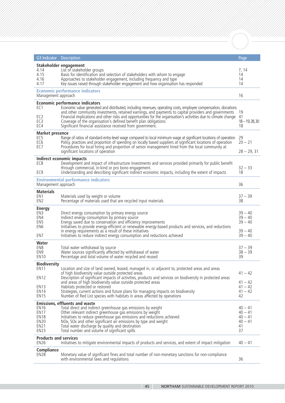| G3 Indicator Description                                                                              |                                                                                                                                                                                                                                                                                                                                                                                                                                                                                                                                       | Page                                                          |
|-------------------------------------------------------------------------------------------------------|---------------------------------------------------------------------------------------------------------------------------------------------------------------------------------------------------------------------------------------------------------------------------------------------------------------------------------------------------------------------------------------------------------------------------------------------------------------------------------------------------------------------------------------|---------------------------------------------------------------|
| 4.14<br>4.15<br>4.16<br>4.17                                                                          | Stakeholder engagement<br>List of stakeholder groups<br>Basis for identification and selection of stakeholders with whom to engage<br>Approaches to stakeholder engagement, including frequency and type<br>Key issues raised through stakeholder engagement and how organisation has responded                                                                                                                                                                                                                                       | 7, 14<br>14<br>14<br>14                                       |
| Management approach                                                                                   | <b>Economic performance indicators</b>                                                                                                                                                                                                                                                                                                                                                                                                                                                                                                | 16                                                            |
| EC1<br>EC <sub>2</sub><br>EC <sub>3</sub><br>EC4                                                      | Economic performance indicators<br>Economic value generated and distributed, including revenues, operating costs, employee compensation, donations<br>and other community investments, retained earnings, and payments to capital providers and governments<br>Financial implications and other risks and opportunities for the organisation's activities due to climate change<br>Coverage of the organisation's defined benefit plan obligations<br>Significant financial assistance received from government.                      | 19<br>41<br>$18 - 19, 28, 30$<br>18                           |
| <b>Market presence</b><br>EC <sub>5</sub><br>EC <sub>6</sub><br>EC <sub>7</sub>                       | Range of ratios of standard entry-level wage compared to local minimum wage at significant locations of operation<br>Policy, practices and proportion of spending on locally based suppliers at significant locations of operation<br>Procedures for local hiring and proportion of senior management hired from the local community at<br>significant locations of operation                                                                                                                                                         | 29<br>$20 - 21$<br>$28 - 29, 31$                              |
| EC <sub>8</sub><br>EC <sub>9</sub>                                                                    | Indirect economic impacts<br>Development and impact of infrastructure investments and services provided primarily for public benefit<br>through commercial, in-kind or pro bono engagement.<br>Understanding and describing significant indirect economic impacts, including the extent of impacts                                                                                                                                                                                                                                    | $32 - 33$<br>18                                               |
| Management approach                                                                                   | <b>Environmental performance indicators</b>                                                                                                                                                                                                                                                                                                                                                                                                                                                                                           | 36                                                            |
| <b>Materials</b><br>EN <sub>1</sub><br>EN <sub>2</sub>                                                | Materials used by weight or volume<br>Percentage of materials used that are recycled input materials                                                                                                                                                                                                                                                                                                                                                                                                                                  | $37 - 39$<br>38                                               |
| <b>Energy</b><br>EN3<br>EN4<br>EN <sub>5</sub><br>EN <sub>6</sub><br>EN7                              | Direct energy consumption by primary energy source<br>Indirect energy consumption by primary source<br>Energy saved due to conservation and efficiency improvements<br>Initiatives to provide energy-efficient or renewable energy-based products and services, and reductions<br>in energy requirements as a result of these initiatives<br>Initiatives to reduce indirect energy consumption and reductions achieved                                                                                                                | $39 - 40$<br>$39 - 40$<br>$39 - 40$<br>$39 - 40$<br>$39 - 40$ |
| Water<br>EN <sub>8</sub><br>EN <sub>9</sub><br><b>EN10</b>                                            | Total water withdrawal by source<br>Water sources significantly affected by withdrawal of water<br>Percentage and total volume of water recycled and reused                                                                                                                                                                                                                                                                                                                                                                           | $37 - 39$<br>$38 - 39$<br>39                                  |
| <b>Biodiversity</b><br>EN 11<br>EN <sub>12</sub><br><b>EN13</b><br><b>EN14</b><br><b>EN15</b>         | Location and size of land owned, leased, managed in, or adjacent to, protected areas and areas<br>of high biodiversity value outside protected areas<br>Description of significant impacts of activities, products and services on biodiversity in protected areas<br>and areas of high biodiversity value outside protected areas<br>Habitats protected or restored<br>Strategies, current actions and future plans for managing impacts on biodiversity<br>Number of Red List species with habitats in areas affected by operations | $41 - 42$<br>$41 - 42$<br>$41 - 42$<br>$41 - 42$<br>42        |
| <b>EN16</b><br>EN <sub>17</sub><br>EN <sub>18</sub><br>EN <sub>20</sub><br><b>EN21</b><br><b>EN23</b> | <b>Emissions, effluents and waste</b><br>Total direct and indirect greenhouse gas emissions by weight<br>Other relevant indirect greenhouse gas emissions by weight<br>Initiatives to reduce greenhouse gas emissions and reductions achieved<br>NOx, SOx and other significant air emissions by type and weight<br>Total water discharge by quality and destination<br>Total number and volume of significant spills                                                                                                                 | $40 - 41$<br>$40 - 41$<br>$40 - 41$<br>$40 - 41$<br>41<br>37  |
| <b>Products and services</b><br><b>EN26</b>                                                           | Initiatives to mitigate environmental impacts of products and services, and extent of impact mitigation                                                                                                                                                                                                                                                                                                                                                                                                                               | $40 - 41$                                                     |
| <b>Compliance</b><br><b>EN28</b>                                                                      | Monetary value of significant fines and total number of non-monetary sanctions for non-compliance<br>with environmental laws and regulations                                                                                                                                                                                                                                                                                                                                                                                          | 36                                                            |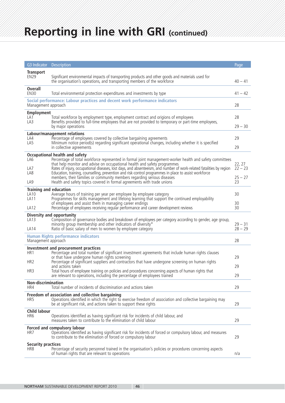# **Reporting in line with GRI (continued)**

| <b>G3</b> Indicator                                               | Description                                                                                                                                                                                                                                                                                                                                                                                                                                                                                                                                                                                                   | Page                                   |
|-------------------------------------------------------------------|---------------------------------------------------------------------------------------------------------------------------------------------------------------------------------------------------------------------------------------------------------------------------------------------------------------------------------------------------------------------------------------------------------------------------------------------------------------------------------------------------------------------------------------------------------------------------------------------------------------|----------------------------------------|
| <b>Transport</b><br><b>EN29</b>                                   | Significant environmental impacts of transporting products and other goods and materials used for<br>the organisation's operations, and transporting members of the workforce                                                                                                                                                                                                                                                                                                                                                                                                                                 | $40 - 41$                              |
| <b>Overall</b><br><b>EN30</b>                                     | Total environmental protection expenditures and investments by type                                                                                                                                                                                                                                                                                                                                                                                                                                                                                                                                           | $41 - 42$                              |
| Management approach                                               | Social performance: Labour practices and decent work performance indicators                                                                                                                                                                                                                                                                                                                                                                                                                                                                                                                                   | 28                                     |
| <b>Employment</b><br>LA 1<br>LA3                                  | Total workforce by employment type, employment contract and origions of employees<br>Benefits provided to full-time employees that are not provided to temporary or part-time employees,<br>by major operations                                                                                                                                                                                                                                                                                                                                                                                               | 28<br>$29 - 30$                        |
| LA4<br>LA5                                                        | Labour/management relations<br>Percentage of employees covered by collective bargaining agreements<br>Minimum notice period(s) regarding significant operational changes, including whether it is specified<br>in collective agreements                                                                                                                                                                                                                                                                                                                                                                       | 29<br>29                               |
| LA6<br>LA7<br>LA8<br>LA <sub>9</sub>                              | Occupational health and safety<br>Percentage of total workforce represented in formal joint management-worker health and safety committees<br>that help monitor and advise on occupational health and safety programmes<br>Rates of injury, occupational diseases, lost days, and absenteeism, and number of work-related fatalities by region<br>Education, training, counselling, prevention and risk-control programmes in place to assist workforce<br>members, their families or community members regarding serious diseases<br>Health and safety topics covered in formal agreements with trade unions | 22, 27<br>$22 - 23$<br>$25 - 27$<br>23 |
| <b>Training and education</b><br>LA10<br>LA <sub>11</sub><br>LA12 | Average hours of training per year per employee by employee category<br>Programmes for skills management and lifelong learning that support the continued employability<br>of employees and assist them in managing career endings<br>Percentage of employees receiving regular performance and career development reviews                                                                                                                                                                                                                                                                                    | 30<br>30<br>30                         |
| LA13<br>LA14                                                      | <b>Diversity and opportunity</b><br>Composition of governance bodies and breakdown of employees per category according to gender, age group,<br>minority group membership and other indicators of diversity*<br>Ratio of basic salary of men to women by employee category                                                                                                                                                                                                                                                                                                                                    | $29 - 31$<br>$28 - 29$                 |
| Management approach                                               | <b>Human Rights performance indicators</b>                                                                                                                                                                                                                                                                                                                                                                                                                                                                                                                                                                    | 28                                     |
| HR <sub>1</sub><br>HR <sub>2</sub><br>HR <sub>3</sub>             | Investment and procurement practices<br>Percentage and total number of significant investment agreements that include human rights clauses<br>or that have undergone human rights screening<br>Percentage of significant suppliers and contractors that have undergone screening on human rights<br>and actions taken<br>Total hours of employee training on policies and procedures concerning aspects of human rights that<br>are relevant to operations, including the percentage of employees trained                                                                                                     | 29<br>29<br>29                         |
| Non-discrimination<br>HR4                                         | Total number of incidents of discrimination and actions taken                                                                                                                                                                                                                                                                                                                                                                                                                                                                                                                                                 | 29                                     |
| HR5                                                               | Freedom of association and collective bargaining<br>Operations identified in which the right to exercise freedom of association and collective bargaining may<br>be at significant risk, and actions taken to support these rights                                                                                                                                                                                                                                                                                                                                                                            | 29                                     |
| <b>Child labour</b><br>HR <sub>6</sub>                            | Operations identified as having significant risk for incidents of child labour, and<br>measures taken to contribute to the elimination of child labour                                                                                                                                                                                                                                                                                                                                                                                                                                                        | 29                                     |
| HR7                                                               | Forced and compulsory labour<br>Operations identified as having significant risk for incidents of forced or compulsory labour, and measures<br>to contribute to the elimination of forced or compulsory labour                                                                                                                                                                                                                                                                                                                                                                                                | 29                                     |
| <b>Security practices</b><br>HR <sub>8</sub>                      | Percentage of security personnel trained in the organisation's policies or procedures concerning aspects<br>of human rights that are relevant to operations                                                                                                                                                                                                                                                                                                                                                                                                                                                   | n/a                                    |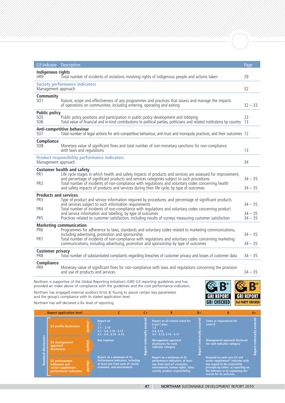| G3 Indicator                                                              | <b>Description</b>                                                                                                                                                                                                                                                                                                                                                                                                                               | Page                                |  |  |
|---------------------------------------------------------------------------|--------------------------------------------------------------------------------------------------------------------------------------------------------------------------------------------------------------------------------------------------------------------------------------------------------------------------------------------------------------------------------------------------------------------------------------------------|-------------------------------------|--|--|
| Indigenous rights<br>HR <sub>9</sub>                                      | Total number of incidents of violations involving rights of indigenous people and actions taken                                                                                                                                                                                                                                                                                                                                                  | 29                                  |  |  |
| <b>Society performance indicators</b><br>Management approach<br>32        |                                                                                                                                                                                                                                                                                                                                                                                                                                                  |                                     |  |  |
| Community<br><b>SO1</b>                                                   | Nature, scope and effectiveness of any programmes and practices that assess and manage the impacts<br>of operations on communities, including entering, operating and exiting                                                                                                                                                                                                                                                                    | $32 - 33$                           |  |  |
| <b>Public policy</b><br><b>SO5</b><br><b>SO6</b>                          | Public policy positions and participation in public policy development and lobbying<br>Total value of financial and in-kind contributions to political parties, politicians and related institutions by country                                                                                                                                                                                                                                  | 23<br>13                            |  |  |
| SO <sub>7</sub>                                                           | Anti-competitive behaviour<br>Total number of legal actions for anti-competitive behaviour, anti-trust and monopoly practices, and their outcomes 12                                                                                                                                                                                                                                                                                             |                                     |  |  |
| Compliance<br>SO <sub>8</sub>                                             | Monetary value of significant fines and total number of non-monetary sanctions for non-compliance<br>with laws and regulations                                                                                                                                                                                                                                                                                                                   | 13                                  |  |  |
| Management approach                                                       | <b>Product responsibility performance indicators</b>                                                                                                                                                                                                                                                                                                                                                                                             | 34                                  |  |  |
| PR <sub>1</sub><br>PR <sub>2</sub>                                        | <b>Customer health and safety</b><br>Life cycle stages in which health and safety impacts of products and services are assessed for improvement,<br>and percentage of significant products and services categories subject to such procedures<br>Total number of incidents of non-compliance with requlations and voluntary codes concerning health<br>and safety impacts of products and services during their life cycle, by type of outcomes  | $34 - 35$<br>$34 - 35$              |  |  |
| <b>Products and services</b><br>PR <sub>3</sub><br>PR4<br>PR <sub>5</sub> | Type of product and service information required by procedures, and percentage of significant products<br>and services subject to such information requirements<br>Total number of incidents of non-compliance with regulations and voluntary codes concerning product<br>and service information and labelling, by type of outcomes<br>Practices related to customer satisfaction, including results of surveys measuring customer satisfaction | $34 - 35$<br>$34 - 35$<br>$34 - 35$ |  |  |
| PR <sub>6</sub><br>PR7                                                    | <b>Marketing communication</b><br>Programmes for adherence to laws, standards and voluntary codes related to marketing communications,<br>including advertising, promotion and sponsorship<br>Total number of incidents of non-compliance with regulations and voluntary codes concerning marketing<br>communications, including advertising, promotion and sponsorship by type of outcomes                                                      | $34 - 35$<br>$34 - 35$              |  |  |
| <b>Customer privacy</b><br>PR8                                            | Total number of substantiated complaints regarding breaches of customer privacy and losses of customer data                                                                                                                                                                                                                                                                                                                                      | $34 - 35$                           |  |  |
| Compliance<br>PR <sub>9</sub>                                             | Monetary value of significant fines for non-compliance with laws and regulations concerning the provision<br>and use of products and services                                                                                                                                                                                                                                                                                                    | $34 - 35$                           |  |  |
|                                                                           |                                                                                                                                                                                                                                                                                                                                                                                                                                                  |                                     |  |  |

Northam is supportive of the Global Reporting Initiative's (GRI) G3 reporting guidelines and has provided an index above of compliance with the guidelines and the core performance indicators. Northam has engaged external auditors Ernst & Young to assure certain key parameters and the group's compliance with its stated application level.



Northam has self-declared a B+ level of reporting.

| <b>Report application level</b> |                                                                                                                                                             |        |                                                                                                                                    | $C +$ | R                                                                                                                                                                     | $B +$ | А                                                                                                                                                                                                           | $A+$ |
|---------------------------------|-------------------------------------------------------------------------------------------------------------------------------------------------------------|--------|------------------------------------------------------------------------------------------------------------------------------------|-------|-----------------------------------------------------------------------------------------------------------------------------------------------------------------------|-------|-------------------------------------------------------------------------------------------------------------------------------------------------------------------------------------------------------------|------|
|                                 | G3 profile disclosures                                                                                                                                      | TINENI | <b>Report on:</b><br>1.1<br>$2.1 - 2.10$<br>$3.1 - 3.8, 3.10 - 3.12$<br>$4.1 - 4.4$ , $4.14 - 4.15$                                |       | Report on all criteria listed for<br>Level C plus:<br>1.2 <sub>2</sub><br>3.9.3.13<br>$4.5 - 4.13$ , $4.16 - 4.17$                                                    | نق    | Same as requirement for<br>Level B                                                                                                                                                                          |      |
| 쏢<br>disclosu                   | <b>UUTPUT</b><br>G3 management<br>approach<br>disclosures<br>G3 performance<br>등<br>indicators and<br>ь<br>sector supplement<br>performance indicators<br>0 |        | <b>Not required</b>                                                                                                                | ଲ     | <b>Management approach</b><br>disclosures for each<br>indicator category                                                                                              | G)    | Management approach disclosed<br>for each indicator category                                                                                                                                                |      |
| Standard                        |                                                                                                                                                             |        | Report on a minimum of 10<br>Performance Indicators, including<br>at least one from each of: social,<br>economic, and environment. |       | Report on a minimum of 20<br>performance indicators, at least<br>one from each of: economic.<br>environment, human rights, labor,<br>society, product responsibility. |       | Respond on each core G3 and<br>sector supplement* indicator with<br>due regard to the materiality<br>principle by either: a) reporting on<br>the indicator or b) explaining the<br>reason for its omission. |      |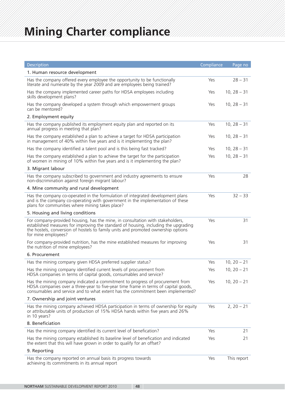| Description                                                                                                                                                                                                                                                                       | Compliance | Page no       |
|-----------------------------------------------------------------------------------------------------------------------------------------------------------------------------------------------------------------------------------------------------------------------------------|------------|---------------|
| 1. Human resource development                                                                                                                                                                                                                                                     |            |               |
| Has the company offered every employee the opportunity to be functionally<br>literate and numerate by the year 2009 and are employees being trained?                                                                                                                              | Yes        | $28 - 31$     |
| Has the company implemented career paths for HDSA employees including<br>skills development plans?                                                                                                                                                                                | Yes        | $10, 28 - 31$ |
| Has the company developed a system through which empowerment groups<br>can be mentored?                                                                                                                                                                                           | Yes        | $10, 28 - 31$ |
| 2. Employment equity                                                                                                                                                                                                                                                              |            |               |
| Has the company published its employment equity plan and reported on its<br>annual progress in meeting that plan?                                                                                                                                                                 | Yes        | $10, 28 - 31$ |
| Has the company established a plan to achieve a target for HDSA participation<br>in management of 40% within five years and is it implementing the plan?                                                                                                                          | Yes        | $10, 28 - 31$ |
| Has the company identified a talent pool and is this being fast tracked?                                                                                                                                                                                                          | Yes        | $10, 28 - 31$ |
| Has the company established a plan to achieve the target for the participation<br>of women in mining of 10% within five years and is it implementing the plan?                                                                                                                    | Yes        | $10, 28 - 31$ |
| 3. Migrant labour                                                                                                                                                                                                                                                                 |            |               |
| Has the company subscribed to government and industry agreements to ensure<br>non-discrimination against foreign migrant labour?                                                                                                                                                  | Yes        | 28            |
| 4. Mine community and rural development                                                                                                                                                                                                                                           |            |               |
| Has the company co-operated in the formulation of integrated development plans<br>and is the company co-operating with government in the implementation of these<br>plans for communities where mining takes place?                                                               | Yes        | $32 - 33$     |
| 5. Housing and living conditions                                                                                                                                                                                                                                                  |            |               |
| For company-provided housing, has the mine, in consultation with stakeholders,<br>established measures for improving the standard of housing, including the upgrading<br>the hostels, conversion of hostels to family units and promoted ownership options<br>for mine employees? | Yes        | 31            |
| For company-provided nutrition, has the mine established measures for improving<br>the nutrition of mine employees?                                                                                                                                                               | Yes        | 31            |
| 6. Procurement                                                                                                                                                                                                                                                                    |            |               |
| Has the mining company given HDSA preferred supplier status?                                                                                                                                                                                                                      | Yes        | $10, 20 - 21$ |
| Has the mining company identified current levels of procurement from<br>HDSA companies in terms of capital goods, consumables and service?                                                                                                                                        | Yes        | $10, 20 - 21$ |
| Has the mining company indicated a commitment to progress of procurement from<br>HDSA companies over a three-year to five-year time frame in terms of capital goods,<br>consumables and service and to what extent has the commitment been implemented?                           | Yes        | $10, 20 - 21$ |
| 7. Ownership and joint ventures                                                                                                                                                                                                                                                   |            |               |
| Has the mining company achieved HDSA participation in terms of ownership for equity<br>or attributable units of production of 15% HDSA hands within five years and 26%<br>in 10 years?                                                                                            | Yes        | $2, 20 - 21$  |
| 8. Beneficiation                                                                                                                                                                                                                                                                  |            |               |
| Has the mining company identified its current level of benefication?                                                                                                                                                                                                              | Yes        | 21            |
| Has the mining company established its baseline level of benefication and indicated<br>the extent that this will have grown in order to qualify for an offset?                                                                                                                    | Yes        | 21            |
| 9. Reporting                                                                                                                                                                                                                                                                      |            |               |
| Has the company reported on annual basis its progress towards<br>achieving its commitments in its annual report                                                                                                                                                                   | Yes        | This report   |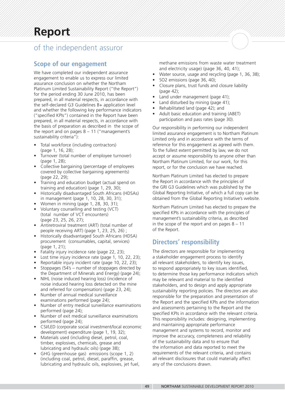### of the independent assuror

### **Scope of our engagement**

We have completed our independent assurance engagement to enable us to express our limited assurance conclusion on whether the Northam Platinum Limited Sustainability Report ("the Report") for the period ending 30 June 2010, has been prepared, in all material respects, in accordance with the self-declared G3 Guidelines B+ application level and whether the following key performance indicators ("specified KPIs") contained in the Report have been prepared, in all material respects, in accordance with the basis of preparation as described in the scope of the report and on pages  $8 - 11$  ("management's sustainability criteria"):

- Total workforce (including contractors) (page 1, 16, 28);
- Turnover (total number of employee turnover) (page 1, 28);
- Collective bargaining (percentage of employees covered by collective bargaining agreements) (page 22, 29);
- Training and education budget (actual spend on training and education) (page 1, 29, 30);
- Historically disadvantaged South Africans (HDSAs) in management (page 1, 10, 28, 30, 31);
- Women in mining (page 1, 28, 30, 31);
- Voluntary counselling and testing (VCT) (total number of VCT encounters) (page 23, 25, 26, 27);
- Antiretroviral treatment (ART) (total number of people receiving ART) (page 1, 23, 25, 26) ;
- Historically disadvantaged South Africans (HDSA) procurement (consumables, capital, services) (page 1, 21);
- Fatality injury incidence rate (page 22, 23);
- Lost time injury incidence rate (page 1, 10, 22, 23);
- Reportable injury incident rate (page 10, 22, 23);
- Stoppages (54's number of stoppages directed by the Department of Minerals and Energy) (page 24);
- NIHL (noise induced hearing loss) (incidence of noise induced hearing loss detected on the mine
- and referred for compensation) (page 23, 24); • Number of annual medical surveillance examinations performed (page 24);
- Number of entry medical surveillance examinations performed (page 24);
- Number of exit medical surveillance examinations performed (page 24);
- CSI/LED (corporate social investment/local economic development) expenditure (page 1, 19, 32);
- Materials used (including diesel, petrol, coal, timber, explosives, chemicals, grease and lubricating and hydraulic oils) (page 38);
- GHG (greenhouse gas) emissions (scope 1, 2) (including coal, petrol, diesel, paraffin, grease, lubricating and hydraulic oils, explosives, jet fuel,

methane emissions from waste water treatment and electricity usage) (page 36, 40, 41);

- Water source, usage and recycling (page 1, 36, 38);
- SO2 emissions (page 36, 40);
- Closure plans, trust funds and closure liability (page 42);
- Land under management (page 41);
- Land disturbed by mining (page 41);
- Rehabilitated land (page 42); and
- Adult basic education and training (ABET) participation and pass rates (page 30).

Our responsibility in performing our independent limited assurance engagement is to Northam Platinum Limited only and in accordance with the terms of reference for this engagement as agreed with them. To the fullest extent permitted by law, we do not accept or assume responsibility to anyone other than Northam Platinum Limited, for our work, for this report, or for the conclusion we have reached.

Northam Platinum Limited has elected to prepare the Report in accordance with the principles of the GRI G3 Guidelines which was published by the Global Reporting Initiative, of which a full copy can be obtained from the Global Reporting Initiative's website.

Northam Platinum Limited has elected to prepare the specified KPIs in accordance with the principles of management's sustainability criteria, as described in the scope of the report and on pages  $8 - 11$ of the Report.

### **Directors' responsibility**

The directors are responsible for implementing a stakeholder engagement process to identify all relevant stakeholders, to identify key issues, to respond appropriately to key issues identified, to determine those key performance indicators which may be relevant and material to the identified stakeholders, and to design and apply appropriate sustainability reporting policies. The directors are also responsible for the preparation and presentation of the Report and the specified KPIs and the information and assessments pertaining to the Report and the specified KPIs in accordance with the relevant criteria. This responsibility includes: designing, implementing and maintaining appropriate performance management and systems to record, monitor and improve the accuracy, completeness and reliability of the sustainability data and to ensure that the information and data reported to meet the requirements of the relevant criteria, and contains all relevant disclosures that could materially affect any of the conclusions drawn.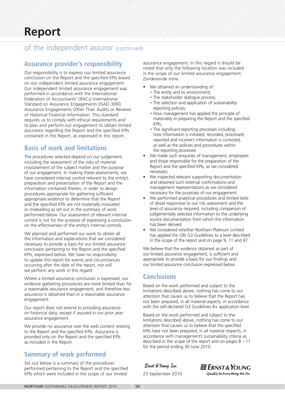### of the independent assuror (continued)

### **Assurance provider's responsibility**

Our responsibility is to express our limited assurance conclusion on the Report and the specified KPIs based on our independent limited assurance engagement. Our independent limited assurance engagement was performed in accordance with the International Federation of Accountants' (IFACs) International Standard on Assurance Engagements (ISAE) 3000 Assurance Engagements Other Than Audits or Reviews of Historical Financial Information. This standard requires us to comply with ethical requirements and to plan and perform our engagement to obtain limited assurance regarding the Report and the specified KPIs contained in the Report, as expressed in this report.

### **Basis of work and limitations**

The procedures selected depend on our judgement, including the assessment of the risks of material misstatement of the subject matter and the purpose of our engagement. In making these assessments, we have considered internal control relevant to the entity's preparation and presentation of the Report and the information contained therein, in order to design procedures appropriate for gathering sufficient appropriate evidence to determine that the Report and the specified KPIs are not materially misstated or misleading as set out in the summary of work performed below. Our assessment of relevant internal control is not for the purpose of expressing a conclusion on the effectiveness of the entity's internal controls.

We planned and performed our work to obtain all the information and explanations that we considered necessary to provide a basis for our limited assurance conclusion pertaining to the Report and the specified KPIs, expressed below. We have no responsibility to update this report for events and circumstances occurring after the date of the report, nor will we perform any work in this regard.

Where a limited assurance conclusion is expressed, our evidence gathering procedures are more limited than for a reasonable assurance engagement, and therefore less assurance is obtained than in a reasonable assurance engagement.

Our report does not extend to providing assurance on historical data, except if assured in our prior year assurance engagement.

We provide no assurance over the web content relating to the Report and the specified KPIs. Assurance is provided only on the Report and the specified KPIs as included in the Report.

### **Summary of work performed**

Set out below is a summary of the procedures performed pertaining to the Report and the specified KPIs which were included in the scope of our limited

assurance engagement. In this regard it should be noted that only the following location was included in the scope of our limited assurance engagement: Zondereinde mine.

- We obtained an understanding of:
	- The entity and its environment;
	- The stakeholder dialogue process;
	- The selection and application of sustainability reporting policies;
	- How management has applied the principle of materiality in preparing the Report and the specified KPIs;
	- The significant reporting processes including how information is initiated, recorded, processed, reported and incorrect information is corrected, as well as the policies and procedures within the reporting processes.
- We made such enquiries of management, employees and those responsible for the preparation of the Report and the specified KPIs, as we considered necessary.
- We inspected relevant supporting documentation and obtained such external confirmations and management representations as we considered necessary for the purposes of our engagement.
- We performed analytical procedures and limited tests of detail responsive to our risk assessment and the level of assurance required, including comparison of judgementally selected information to the underlying source documentation from which the information has been derived.
- We considered whether Northam Platinum Limited has applied the GRI G3 Guidelines to a level described in the scope of the report and on page 9, 11 and 47.

We believe that the evidence obtained as part of our limited assurance engagement, is sufficient and appropriate to provide a basis for our findings and our limited assurance conclusion expressed below.

### **Conclusions**

Based on the work performed and subject to the limitations described above, nothing has come to our attention that causes us to believe that the Report has not been prepared, in all material aspects, in accordance with the self-declared G3 Guidelines B+ application level.

Based on the work performed and subject to the limitations described above, nothing has come to our attention that causes us to believe that the specified KPIs have not been prepared, in all material respects, in accordance with management's sustainability criteria as described in the scope of the report and on pages  $8 - 11$ for the period ending 30 June 2010.

Ernst & Young Inc.



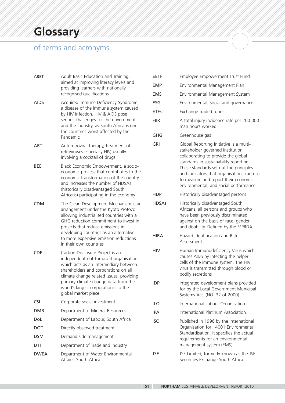# **Glossary**

# of terms and acronyms

| ABET        | Adult Basic Education and Training,<br>aimed at improving literacy levels and<br>providing learners with nationally<br>recognised qualifications                                                                                                                                                                     |
|-------------|----------------------------------------------------------------------------------------------------------------------------------------------------------------------------------------------------------------------------------------------------------------------------------------------------------------------|
| <b>AIDS</b> | Acquired Immune Deficiency Syndrome,<br>a disease of the immune system caused<br>by HIV infection. HIV & AIDS pose<br>serious challenges for the government<br>and the industry, as South Africa is one<br>the countries worst affected by the<br>Pandemic                                                           |
| ART         | Anti-retroviral therapy, treatment of<br>retroviruses especially HIV, usually<br>involving a cocktail of drugs                                                                                                                                                                                                       |
| BEE         | Black Economic Empowerment, a socio-<br>economic process that contributes to the<br>economic transformation of the country<br>and increases the number of HDSAs<br>(historically disadvantaged South<br>Africans) participating in the economy                                                                       |
| <b>CDM</b>  | The Clean Development Mechanism is an<br>arrangement under the Kyoto Protocol<br>allowing industrialised countries with a<br>GHG reduction commitment to invest in<br>projects that reduce emissions in<br>developing countries as an alternative<br>to more expensive emission reductions<br>in their own countries |
| CDP         | Carbon Disclosure Project is an<br>independent not-for-profit organisation<br>which acts as an intermediary between<br>shareholders and corporations on all<br>climate change related issues, providing<br>primary climate change data from the<br>world's largest corporations, to the<br>global market place       |
| CSI         | Corporate social investment                                                                                                                                                                                                                                                                                          |
| DMR         | Department of Mineral Resources                                                                                                                                                                                                                                                                                      |
| DoL         | Department of Labour, South Africa                                                                                                                                                                                                                                                                                   |
| DOT         | Directly observed treatment                                                                                                                                                                                                                                                                                          |
| DSM         | Demand side management                                                                                                                                                                                                                                                                                               |
| DTI         | Department of Trade and Industry                                                                                                                                                                                                                                                                                     |
| <b>DWEA</b> | Department of Water Environmental<br>Affairs, South Africa                                                                                                                                                                                                                                                           |

| EETF         | Employee Empowerment Trust Fund                                                                                                                                                                                                                                                                                                       |
|--------------|---------------------------------------------------------------------------------------------------------------------------------------------------------------------------------------------------------------------------------------------------------------------------------------------------------------------------------------|
| EMP          | Environmental Management Plan                                                                                                                                                                                                                                                                                                         |
| <b>EMS</b>   | Environmental Management System                                                                                                                                                                                                                                                                                                       |
| ESG          | Environmental, social and governance                                                                                                                                                                                                                                                                                                  |
| <b>ETFs</b>  | Exchange traded funds                                                                                                                                                                                                                                                                                                                 |
| FIIR         | A total injury incidence rate per 200 000<br>man hours worked                                                                                                                                                                                                                                                                         |
| GHG          | Greenhouse gas                                                                                                                                                                                                                                                                                                                        |
| GRI          | Global Reporting Initiative is a multi-<br>stakeholder governed institution<br>collaborating to provide the global<br>standards in sustainability reporting.<br>These standards set out the principles<br>and indicators that organisations can use<br>to measure and report their economic,<br>environmental, and social performance |
| HDP          | Historically disadvantaged persons                                                                                                                                                                                                                                                                                                    |
| <b>HDSAs</b> | Historically disadvantaged South<br>Africans, all persons and groups who<br>have been previously discriminated<br>against on the basis of race, gender<br>and disability. Defined by the MPRDA                                                                                                                                        |
| HIRA         | Hazard Identification and Risk<br>Assessment                                                                                                                                                                                                                                                                                          |
| HIV          | Human Immunodeficiency Virus which<br>causes AIDS by infecting the helper T<br>cells of the immune system. The HIV<br>virus is transmitted through blood or<br>bodily secretions                                                                                                                                                      |
| IDP          | Integrated development plans provided<br>for by the Local Government Municipal<br>Systems Act. (NO. 32 of 2000)                                                                                                                                                                                                                       |
| ilo          | International Labour Organisation                                                                                                                                                                                                                                                                                                     |
| IPA          | International Platinum Association                                                                                                                                                                                                                                                                                                    |
| <b>ISO</b>   | Published in 1996 by the International<br>Organisation for 14001 Environmental<br>Standardisation, it specifies the actual<br>requirements for an environmental<br>management system (EMS)                                                                                                                                            |
| JSE          | JSE Limited, formerly known as the JSE<br>Securities Exchange South Africa                                                                                                                                                                                                                                                            |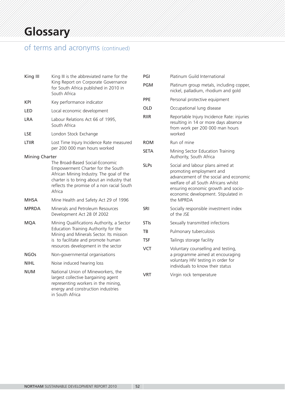# of terms and acronyms (continued)

| King III                                                                                                                                                                                                               | King III is the abbreviated name for the                                                                                                                                  | PGI                       | Platinum Guild International                                                                                                                                                                                                 |  |
|------------------------------------------------------------------------------------------------------------------------------------------------------------------------------------------------------------------------|---------------------------------------------------------------------------------------------------------------------------------------------------------------------------|---------------------------|------------------------------------------------------------------------------------------------------------------------------------------------------------------------------------------------------------------------------|--|
|                                                                                                                                                                                                                        | King Report on Corporate Governance<br>for South Africa published in 2010 in<br>South Africa                                                                              | <b>PGM</b>                | Platinum group metals, including copper,<br>nickel, palladium, rhodium and gold                                                                                                                                              |  |
| <b>KPI</b>                                                                                                                                                                                                             | Key performance indicator                                                                                                                                                 | PPE                       | Personal protective equipment                                                                                                                                                                                                |  |
| LED                                                                                                                                                                                                                    | Local economic development                                                                                                                                                | <b>OLD</b><br><b>RIIR</b> | Occupational lung disease                                                                                                                                                                                                    |  |
| <b>LRA</b>                                                                                                                                                                                                             | Labour Relations Act 66 of 1995,<br>South Africa                                                                                                                          |                           | Reportable Injury Incidence Rate: injuries<br>resulting in 14 or more days absence<br>from work per 200 000 man hours                                                                                                        |  |
| <b>LSE</b>                                                                                                                                                                                                             | London Stock Exchange                                                                                                                                                     |                           | worked                                                                                                                                                                                                                       |  |
| LTIIR                                                                                                                                                                                                                  | Lost Time Injury Incidence Rate measured                                                                                                                                  | <b>ROM</b>                | Run of mine                                                                                                                                                                                                                  |  |
| <b>Mining Charter</b>                                                                                                                                                                                                  | per 200 000 man hours worked                                                                                                                                              | <b>SETA</b>               | Mining Sector Education Training<br>Authority, South Africa                                                                                                                                                                  |  |
| The Broad-Based Social-Economic<br>Empowerment Charter for the South<br>African Mining Industry. The goal of the<br>charter is to bring about an industry that<br>reflects the promise of a non racial South<br>Africa |                                                                                                                                                                           | <b>SLPs</b>               | Social and labour plans aimed at<br>promoting employment and<br>advancement of the social and economic<br>welfare of all South Africans whilst<br>ensuring economic growth and socio-<br>economic development. Stipulated in |  |
| <b>MHSA</b>                                                                                                                                                                                                            | Mine Health and Safety Act 29 of 1996                                                                                                                                     |                           | the MPRDA                                                                                                                                                                                                                    |  |
| <b>MPRDA</b>                                                                                                                                                                                                           | Minerals and Petroleum Resources<br>Development Act 28 0f 2002                                                                                                            | SRI                       | Socially responsible investment index<br>of the JSE                                                                                                                                                                          |  |
| <b>MQA</b>                                                                                                                                                                                                             | Mining Qualifications Authority, a Sector                                                                                                                                 | <b>STIs</b>               | Sexually transmitted infections                                                                                                                                                                                              |  |
|                                                                                                                                                                                                                        | Education Training Authority for the<br>Mining and Minerals Sector. Its mission                                                                                           | TB                        | Pulmonary tuberculosis                                                                                                                                                                                                       |  |
|                                                                                                                                                                                                                        | is to facilitate and promote human                                                                                                                                        | <b>TSF</b>                | Tailings storage facility                                                                                                                                                                                                    |  |
|                                                                                                                                                                                                                        | resources development in the sector                                                                                                                                       | <b>VCT</b>                | Voluntary counselling and testing,                                                                                                                                                                                           |  |
| <b>NGOs</b>                                                                                                                                                                                                            | Non-governmental organisations                                                                                                                                            |                           | a programme aimed at encouraging                                                                                                                                                                                             |  |
| <b>NIHL</b>                                                                                                                                                                                                            | Noise induced hearing loss                                                                                                                                                |                           | voluntary HIV testing in order for<br>individuals to know their status                                                                                                                                                       |  |
| <b>NUM</b>                                                                                                                                                                                                             | National Union of Mineworkers, the<br>largest collective bargaining agent<br>representing workers in the mining,<br>energy and construction industries<br>in South Africa | <b>VRT</b>                | Virgin rock temperature                                                                                                                                                                                                      |  |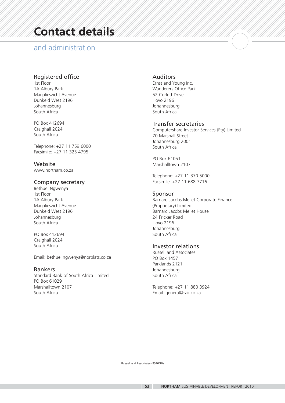# **Contact details**

### and administration

### Registered office

1st Floor 1A Albury Park Magalieszicht Avenue Dunkeld West 2196 Johannesburg South Africa

PO Box 412694 Craighall 2024 South Africa

Telephone: +27 11 759 6000 Facsimile: +27 11 325 4795

Website www.northam.co.za

### Company secretary

Bethuel Ngwenya 1st Floor 1A Albury Park Magalieszicht Avenue Dunkeld West 2196 Johannesburg South Africa

PO Box 412694 Craighall 2024 South Africa

Email: bethuel.ngwenya@norplats.co.za

### Bankers

Standard Bank of South Africa Limited PO Box 61029 Marshalltown 2107 South Africa

### Auditors

Ernst and Young Inc. Wanderers Office Park 52 Corlett Drive Illovo 2196 Johannesburg South Africa

### Transfer secretaries

Computershare Investor Services (Pty) Limited 70 Marshall Street Johannesburg 2001 South Africa

PO Box 61051 Marshalltown 2107

Telephone: +27 11 370 5000 Facsimile: +27 11 688 7716

### Sponsor

Barnard Jacobs Mellet Corporate Finance (Proprietary) Limited Barnard Jacobs Mellet House 24 Fricker Road Illovo 2196 Johannesburg South Africa

### Investor relations

Russell and Associates PO Box 1457 Parklands 2121 Johannesburg South Africa

Telephone: +27 11 880 3924 Email: general@rair.co.za

Russell and Associates (3346/10)